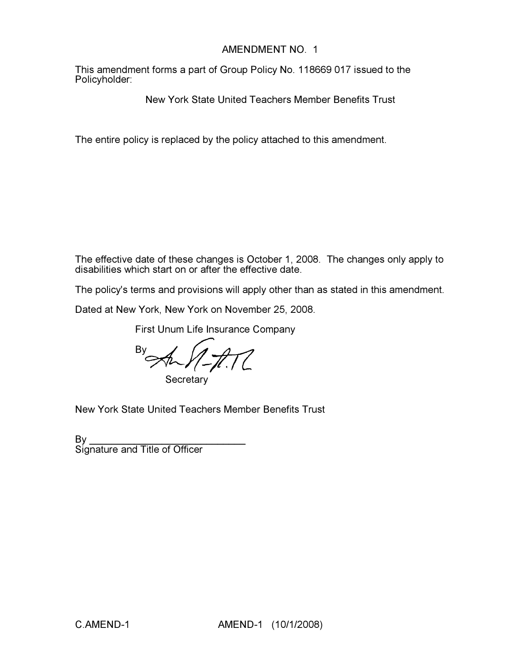# AMENDMENT NO. 1

This amendment forms a part of Group Policy No. 118669 017 issued to the Policyholder:

New York State United Teachers Member Benefits Trust

The entire policy is replaced by the policy attached to this amendment.

The effective date of these changes is October 1, 2008. The changes only apply to disabilities which start on or after the effective date.

The policy's terms and provisions will apply other than as stated in this amendment.

Dated at New York, New York on November 25, 2008.

First Unum Life Insurance Company

 $\negthinspace\negthinspace\negthinspace\downarrow$ 

**Secretary** 

New York State United Teachers Member Benefits Trust

By \_\_\_\_\_\_\_\_\_\_\_\_\_\_\_\_\_\_\_\_\_\_\_\_\_\_\_\_ Signature and Title of Officer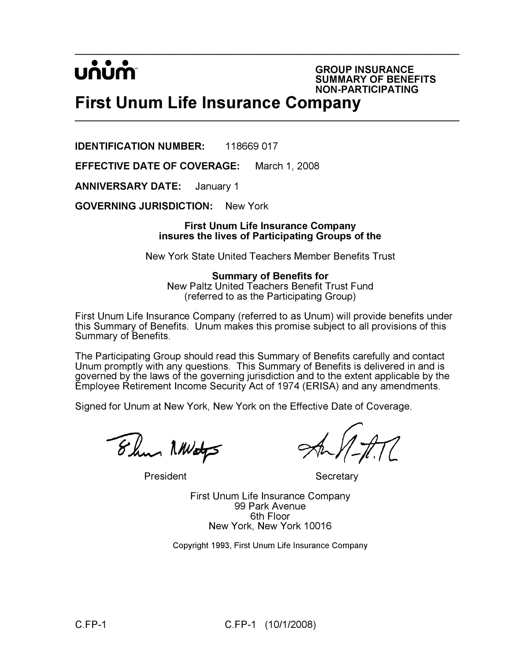$\_$ UNUM

GROUP INSURANCE SUMMARY OF BENEFITS NON-PARTICIPATING

# First Unum Life Insurance Company \_\_\_\_\_\_\_\_\_\_\_\_\_\_\_\_\_\_\_\_\_\_\_\_\_\_\_\_\_\_\_\_\_\_\_\_\_\_\_\_\_\_\_\_\_\_\_\_\_\_\_\_\_\_\_\_\_\_\_\_\_\_\_\_\_\_\_\_\_

IDENTIFICATION NUMBER: 118669 017

EFFECTIVE DATE OF COVERAGE: March 1, 2008

ANNIVERSARY DATE: January 1

GOVERNING JURISDICTION: New York

#### First Unum Life Insurance Company insures the lives of Participating Groups of the

New York State United Teachers Member Benefits Trust

Summary of Benefits for New Paltz United Teachers Benefit Trust Fund (referred to as the Participating Group)

First Unum Life Insurance Company (referred to as Unum) will provide benefits under this Summary of Benefits. Unum makes this promise subject to all provisions of this Summary of Benefits.

The Participating Group should read this Summary of Benefits carefully and contact Unum promptly with any questions. This Summary of Benefits is delivered in and is governed by the laws of the governing jurisdiction and to the extent applicable by the Employee Retirement Income Security Act of 1974 (ERISA) and any amendments.

Signed for Unum at New York, New York on the Effective Date of Coverage.

8 hrs NWaty

President Secretary

First Unum Life Insurance Company 99 Park Avenue 6th Floor New York, New York 10016

Copyright 1993, First Unum Life Insurance Company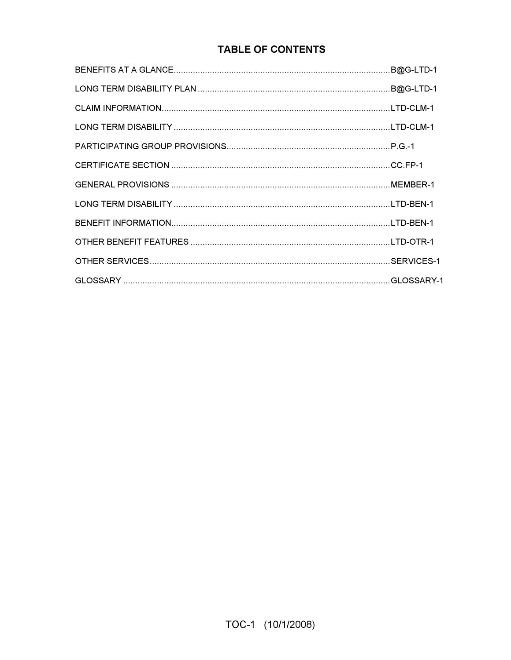# **TABLE OF CONTENTS**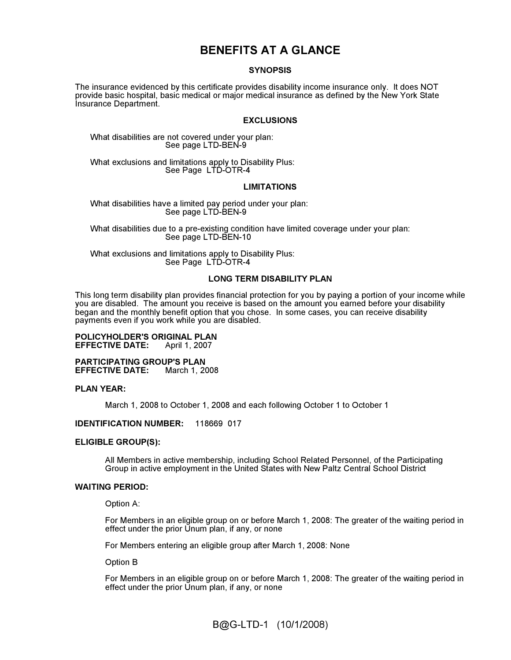# BENEFITS AT A GLANCE

#### **SYNOPSIS**

The insurance evidenced by this certificate provides disability income insurance only. It does NOT provide basic hospital, basic medical or major medical insurance as defined by the New York State Insurance Department.

#### EXCLUSIONS

What disabilities are not covered under your plan: See page LTD-BEN-9

What exclusions and limitations apply to Disability Plus: See Page LTD-OTR-4

#### LIMITATIONS

What disabilities have a limited pay period under your plan: See page LTD-BEN-9

What disabilities due to a pre-existing condition have limited coverage under your plan: See page LTD-BEN-10

What exclusions and limitations apply to Disability Plus: See Page LTD-OTR-4

#### LONG TERM DISABILITY PLAN

This long term disability plan provides financial protection for you by paying a portion of your income while you are disabled. The amount you receive is based on the amount you earned before your disability began and the monthly benefit option that you chose. In some cases, you can receive disability payments even if you work while you are disabled.

#### **POLICYHOLDER'S ORIGINAL PLAN<br>EFFECTIVE DATE:** April 1, 2007 **EFFECTIVE DATE:**

PARTICIPATING GROUP'S PLAN<br>EFFECTIVE DATE: March 1, 2008 **EFFECTIVE DATE:** 

#### PLAN YEAR:

March 1, 2008 to October 1, 2008 and each following October 1 to October 1

#### IDENTIFICATION NUMBER: 118669 017

#### ELIGIBLE GROUP(S):

All Members in active membership, including School Related Personnel, of the Participating Group in active employment in the United States with New Paltz Central School District

#### WAITING PERIOD:

Option A:

For Members in an eligible group on or before March 1, 2008: The greater of the waiting period in effect under the prior Unum plan, if any, or none

For Members entering an eligible group after March 1, 2008: None

Option B

For Members in an eligible group on or before March 1, 2008: The greater of the waiting period in effect under the prior Unum plan, if any, or none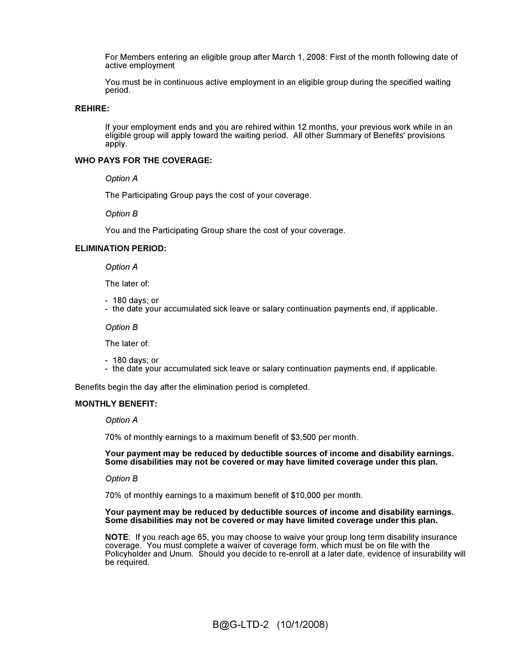For Members entering an eligible group after March 1, 2008: First of the month following date of active employment

You must be in continuous active employment in an eligible group during the specified waiting period.

#### REHIRE:

If your employment ends and you are rehired within 12 months, your previous work while in an eligible group will apply toward the waiting period. All other Summary of Benefits' provisions apply.

#### WHO PAYS FOR THE COVERAGE:

Option A

The Participating Group pays the cost of your coverage.

Option B

You and the Participating Group share the cost of your coverage.

#### ELIMINATION PERIOD:

Option A

The later of:

- 180 days; or
- the date your accumulated sick leave or salary continuation payments end, if applicable.

Option B

The later of:

- 180 days; or

- the date your accumulated sick leave or salary continuation payments end, if applicable.

Benefits begin the day after the elimination period is completed.

#### MONTHLY BENEFIT:

Option A

70% of monthly earnings to a maximum benefit of \$3,500 per month.

Your payment may be reduced by deductible sources of income and disability earnings. Some disabilities may not be covered or may have limited coverage under this plan.

Option B

70% of monthly earnings to a maximum benefit of \$10,000 per month.

#### Your payment may be reduced by deductible sources of income and disability earnings. Some disabilities may not be covered or may have limited coverage under this plan.

NOTE: If you reach age 65, you may choose to waive your group long term disability insurance coverage. You must complete a waiver of coverage form, which must be on file with the Policyholder and Unum. Should you decide to re-enroll at a later date, evidence of insurability will be required.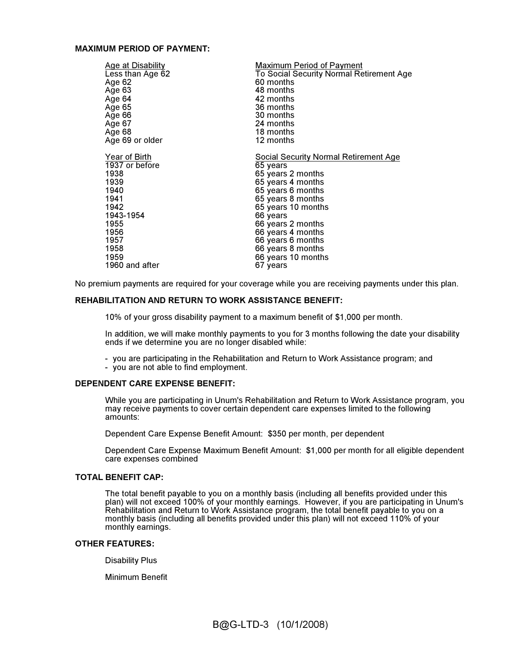#### MAXIMUM PERIOD OF PAYMENT:

| Age at Disability | Maximum Period of Payment                |
|-------------------|------------------------------------------|
| Less than Age 62  | To Social Security Normal Retirement Age |
| Age 62            | 60 months                                |
| Age 63            | 48 months                                |
| Age 64            | 42 months                                |
| Age 65            | 36 months                                |
| Age 66            | 30 months                                |
| Age 67            | 24 months                                |
| Age 68            | 18 months                                |
| Age 69 or older   | 12 months                                |
| Year of Birth     | Social Security Normal Retirement Age    |
| 1937 or before    | 65 years                                 |
| 1938              | 65 years 2 months                        |
| 1939              | 65 years 4 months                        |
| 1940              | 65 years 6 months                        |
| 1941              | 65 years 8 months                        |
| 1942              | 65 years 10 months                       |
| 1943-1954         | 66 years                                 |
| 1955              | 66 years 2 months                        |
| 1956              | 66 years 4 months                        |
| 1957              | 66 years 6 months                        |
| 1958              | 66 years 8 months                        |
| 1959              | 66 years 10 months                       |
| 1960 and after    | 67 years                                 |

No premium payments are required for your coverage while you are receiving payments under this plan.

#### REHABILITATION AND RETURN TO WORK ASSISTANCE BENEFIT:

10% of your gross disability payment to a maximum benefit of \$1,000 per month.

In addition, we will make monthly payments to you for 3 months following the date your disability ends if we determine you are no longer disabled while:

- you are participating in the Rehabilitation and Return to Work Assistance program; and
- you are not able to find employment.

#### DEPENDENT CARE EXPENSE BENEFIT:

While you are participating in Unum's Rehabilitation and Return to Work Assistance program, you may receive payments to cover certain dependent care expenses limited to the following amounts:

Dependent Care Expense Benefit Amount: \$350 per month, per dependent

Dependent Care Expense Maximum Benefit Amount: \$1,000 per month for all eligible dependent care expenses combined

#### TOTAL BENEFIT CAP:

The total benefit payable to you on a monthly basis (including all benefits provided under this plan) will not exceed 100% of your monthly earnings. However, if you are participating in Unum's Rehabilitation and Return to Work Assistance program, the total benefit payable to you on a monthly basis (including all benefits provided under this plan) will not exceed 110% of your monthly earnings.

#### OTHER FEATURES:

Disability Plus

Minimum Benefit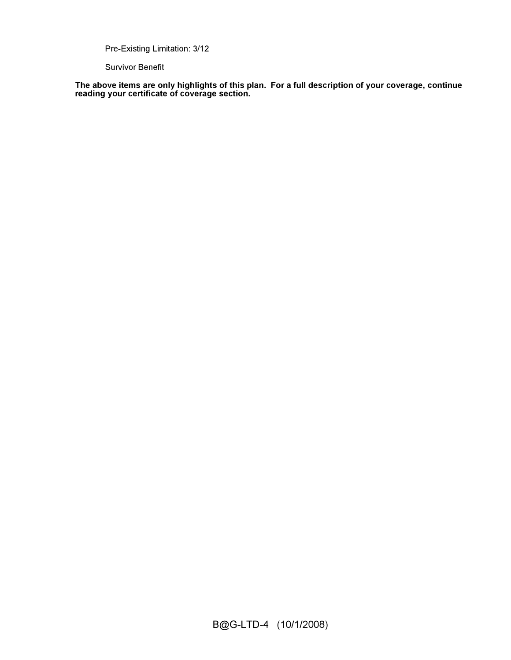Pre-Existing Limitation: 3/12

Survivor Benefit

The above items are only highlights of this plan. For a full description of your coverage, continue reading your certificate of coverage section.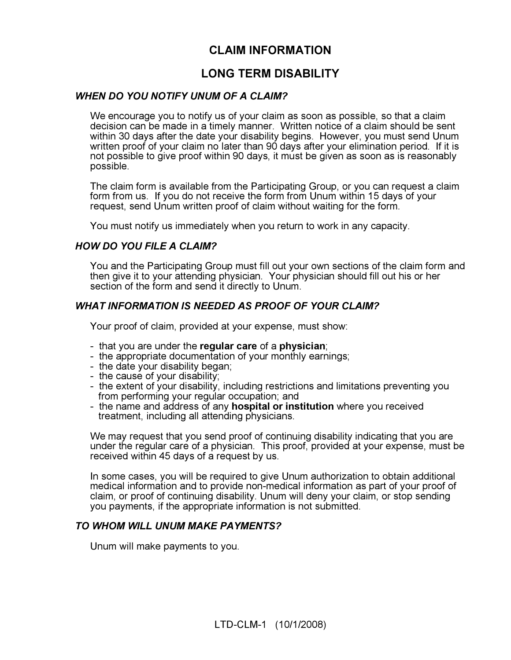# CLAIM INFORMATION

# LONG TERM DISABILITY

## WHEN DO YOU NOTIFY UNUM OF A CLAIM?

We encourage you to notify us of your claim as soon as possible, so that a claim decision can be made in a timely manner. Written notice of a claim should be sent within 30 days after the date your disability begins. However, you must send Unum written proof of your claim no later than 90 days after your elimination period. If it is not possible to give proof within 90 days, it must be given as soon as is reasonably possible.

The claim form is available from the Participating Group, or you can request a claim form from us. If you do not receive the form from Unum within 15 days of your request, send Unum written proof of claim without waiting for the form.

You must notify us immediately when you return to work in any capacity.

## HOW DO YOU FILE A CLAIM?

You and the Participating Group must fill out your own sections of the claim form and then give it to your attending physician. Your physician should fill out his or her section of the form and send it directly to Unum.

## WHAT INFORMATION IS NEEDED AS PROOF OF YOUR CLAIM?

Your proof of claim, provided at your expense, must show:

- that you are under the regular care of a physician;
- the appropriate documentation of your monthly earnings;
- the date your disability began;
- the cause of your disability;
- the extent of your disability, including restrictions and limitations preventing you from performing your regular occupation; and
- the name and address of any hospital or institution where you received treatment, including all attending physicians.

We may request that you send proof of continuing disability indicating that you are under the regular care of a physician. This proof, provided at your expense, must be received within 45 days of a request by us.

In some cases, you will be required to give Unum authorization to obtain additional medical information and to provide non-medical information as part of your proof of claim, or proof of continuing disability. Unum will deny your claim, or stop sending you payments, if the appropriate information is not submitted.

#### TO WHOM WILL UNUM MAKE PAYMENTS?

Unum will make payments to you.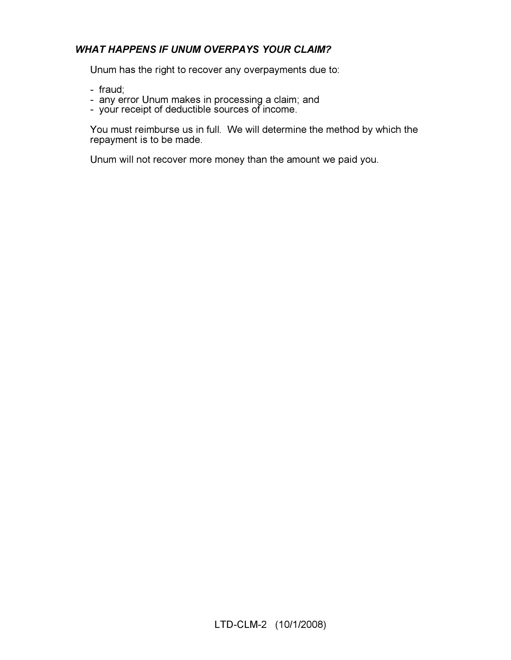# WHAT HAPPENS IF UNUM OVERPAYS YOUR CLAIM?

Unum has the right to recover any overpayments due to:

- fraud;
- any error Unum makes in processing a claim; and
- your receipt of deductible sources of income.

You must reimburse us in full. We will determine the method by which the repayment is to be made.

Unum will not recover more money than the amount we paid you.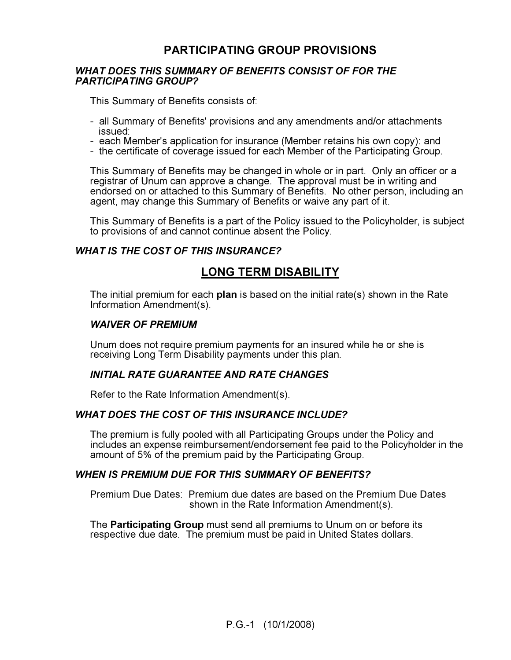# PARTICIPATING GROUP PROVISIONS

#### WHAT DOES THIS SUMMARY OF BENEFITS CONSIST OF FOR THE PARTICIPATING GROUP?

This Summary of Benefits consists of:

- all Summary of Benefits' provisions and any amendments and/or attachments issued:
- each Member's application for insurance (Member retains his own copy): and
- the certificate of coverage issued for each Member of the Participating Group.

This Summary of Benefits may be changed in whole or in part. Only an officer or a registrar of Unum can approve a change. The approval must be in writing and endorsed on or attached to this Summary of Benefits. No other person, including an agent, may change this Summary of Benefits or waive any part of it.

This Summary of Benefits is a part of the Policy issued to the Policyholder, is subject to provisions of and cannot continue absent the Policy.

## WHAT IS THE COST OF THIS INSURANCE?

# LONG TERM DISABILITY

The initial premium for each **plan** is based on the initial rate(s) shown in the Rate Information Amendment(s).

#### WAIVER OF PREMIUM

Unum does not require premium payments for an insured while he or she is receiving Long Term Disability payments under this plan.

#### INITIAL RATE GUARANTEE AND RATE CHANGES

Refer to the Rate Information Amendment(s).

#### WHAT DOES THE COST OF THIS INSURANCE INCLUDE?

The premium is fully pooled with all Participating Groups under the Policy and includes an expense reimbursement/endorsement fee paid to the Policyholder in the amount of 5% of the premium paid by the Participating Group.

#### WHEN IS PREMIUM DUE FOR THIS SUMMARY OF BENEFITS?

Premium Due Dates: Premium due dates are based on the Premium Due Dates shown in the Rate Information Amendment(s).

The **Participating Group** must send all premiums to Unum on or before its respective due date. The premium must be paid in United States dollars.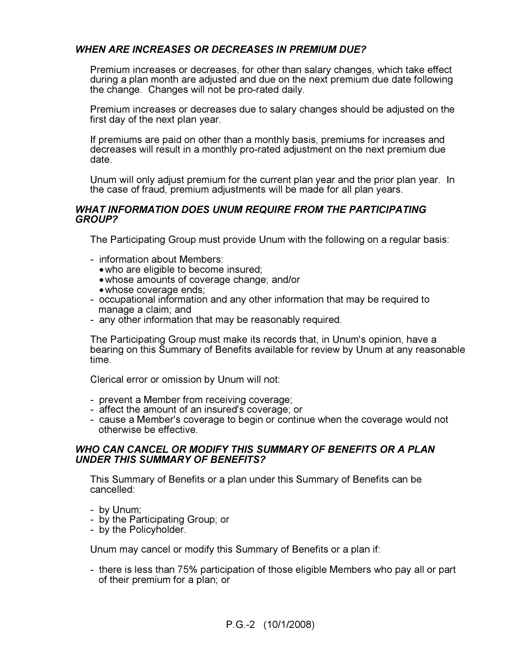# WHEN ARE INCREASES OR DECREASES IN PREMIUM DUE?

Premium increases or decreases, for other than salary changes, which take effect during a plan month are adjusted and due on the next premium due date following the change. Changes will not be pro-rated daily.

Premium increases or decreases due to salary changes should be adjusted on the first day of the next plan year.

If premiums are paid on other than a monthly basis, premiums for increases and decreases will result in a monthly pro-rated adjustment on the next premium due date.

Unum will only adjust premium for the current plan year and the prior plan year. In the case of fraud, premium adjustments will be made for all plan years.

#### WHAT INFORMATION DOES UNUM REQUIRE FROM THE PARTICIPATING GROUP?

The Participating Group must provide Unum with the following on a regular basis:

- information about Members:
	- who are eligible to become insured;
	- whose amounts of coverage change; and/or
	- whose coverage ends;
- occupational information and any other information that may be required to manage a claim; and
- any other information that may be reasonably required.

The Participating Group must make its records that, in Unum's opinion, have a bearing on this Summary of Benefits available for review by Unum at any reasonable time.

Clerical error or omission by Unum will not:

- prevent a Member from receiving coverage;
- affect the amount of an insured's coverage; or
- cause a Member's coverage to begin or continue when the coverage would not otherwise be effective.

#### WHO CAN CANCEL OR MODIFY THIS SUMMARY OF BENEFITS OR A PLAN UNDER THIS SUMMARY OF BENEFITS?

This Summary of Benefits or a plan under this Summary of Benefits can be cancelled:

- by Unum;
- by the Participating Group; or
- by the Policyholder.

Unum may cancel or modify this Summary of Benefits or a plan if:

- there is less than 75% participation of those eligible Members who pay all or part of their premium for a plan; or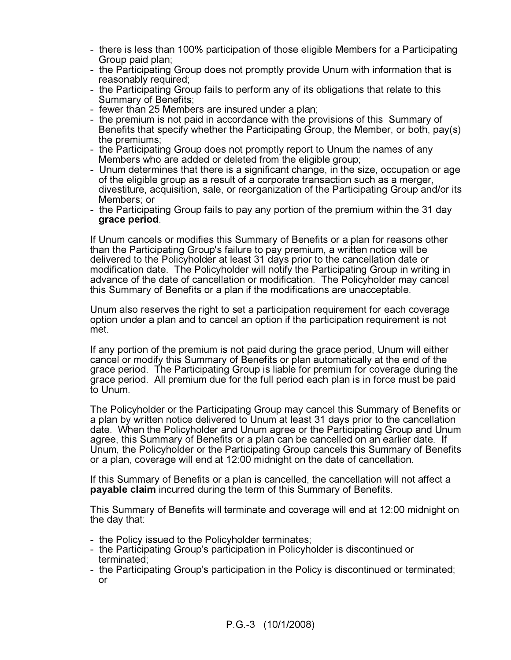- there is less than 100% participation of those eligible Members for a Participating Group paid plan;
- the Participating Group does not promptly provide Unum with information that is reasonably required;
- the Participating Group fails to perform any of its obligations that relate to this Summary of Benefits;
- fewer than 25 Members are insured under a plan;
- the premium is not paid in accordance with the provisions of this Summary of Benefits that specify whether the Participating Group, the Member, or both, pay(s) the premiums;
- the Participating Group does not promptly report to Unum the names of any Members who are added or deleted from the eligible group;
- Unum determines that there is a significant change, in the size, occupation or age of the eligible group as a result of a corporate transaction such as a merger, divestiture, acquisition, sale, or reorganization of the Participating Group and/or its Members; or
- the Participating Group fails to pay any portion of the premium within the 31 day grace period.

If Unum cancels or modifies this Summary of Benefits or a plan for reasons other than the Participating Group's failure to pay premium, a written notice will be delivered to the Policyholder at least 31 days prior to the cancellation date or modification date. The Policyholder will notify the Participating Group in writing in advance of the date of cancellation or modification. The Policyholder may cancel this Summary of Benefits or a plan if the modifications are unacceptable.

Unum also reserves the right to set a participation requirement for each coverage option under a plan and to cancel an option if the participation requirement is not met.

If any portion of the premium is not paid during the grace period, Unum will either cancel or modify this Summary of Benefits or plan automatically at the end of the grace period. The Participating Group is liable for premium for coverage during the grace period. All premium due for the full period each plan is in force must be paid to Unum.

The Policyholder or the Participating Group may cancel this Summary of Benefits or a plan by written notice delivered to Unum at least 31 days prior to the cancellation date. When the Policyholder and Unum agree or the Participating Group and Unum agree, this Summary of Benefits or a plan can be cancelled on an earlier date. If Unum, the Policyholder or the Participating Group cancels this Summary of Benefits or a plan, coverage will end at 12:00 midnight on the date of cancellation.

If this Summary of Benefits or a plan is cancelled, the cancellation will not affect a payable claim incurred during the term of this Summary of Benefits.

This Summary of Benefits will terminate and coverage will end at 12:00 midnight on the day that:

- the Policy issued to the Policyholder terminates;
- the Participating Group's participation in Policyholder is discontinued or terminated;
- the Participating Group's participation in the Policy is discontinued or terminated; or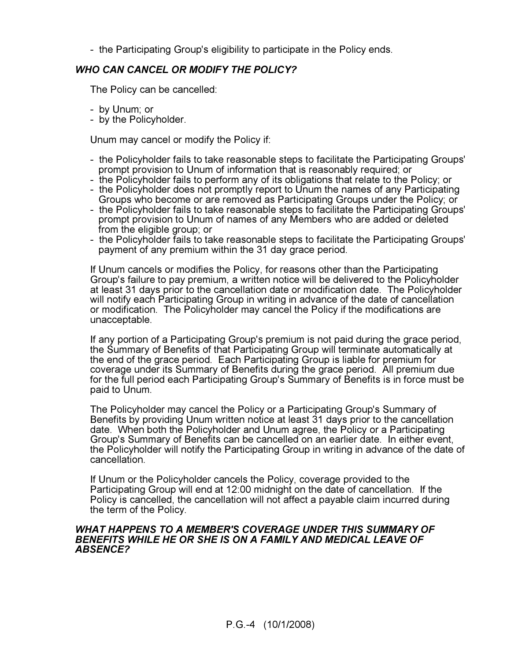- the Participating Group's eligibility to participate in the Policy ends.

# WHO CAN CANCEL OR MODIFY THE POLICY?

The Policy can be cancelled:

- by Unum; or
- by the Policyholder.

Unum may cancel or modify the Policy if:

- the Policyholder fails to take reasonable steps to facilitate the Participating Groups' prompt provision to Unum of information that is reasonably required; or
- the Policyholder fails to perform any of its obligations that relate to the Policy; or
- the Policyholder does not promptly report to Unum the names of any Participating Groups who become or are removed as Participating Groups under the Policy; or
- the Policyholder fails to take reasonable steps to facilitate the Participating Groups' prompt provision to Unum of names of any Members who are added or deleted from the eligible group; or
- the Policyholder fails to take reasonable steps to facilitate the Participating Groups' payment of any premium within the 31 day grace period.

If Unum cancels or modifies the Policy, for reasons other than the Participating Group's failure to pay premium, a written notice will be delivered to the Policyholder at least 31 days prior to the cancellation date or modification date. The Policyholder will notify each Participating Group in writing in advance of the date of cancellation or modification. The Policyholder may cancel the Policy if the modifications are unacceptable.

If any portion of a Participating Group's premium is not paid during the grace period, the Summary of Benefits of that Participating Group will terminate automatically at the end of the grace period. Each Participating Group is liable for premium for coverage under its Summary of Benefits during the grace period. All premium due for the full period each Participating Group's Summary of Benefits is in force must be paid to Unum.

The Policyholder may cancel the Policy or a Participating Group's Summary of Benefits by providing Unum written notice at least 31 days prior to the cancellation date. When both the Policyholder and Unum agree, the Policy or a Participating Group's Summary of Benefits can be cancelled on an earlier date. In either event, the Policyholder will notify the Participating Group in writing in advance of the date of cancellation.

If Unum or the Policyholder cancels the Policy, coverage provided to the Participating Group will end at 12:00 midnight on the date of cancellation. If the Policy is cancelled, the cancellation will not affect a payable claim incurred during the term of the Policy.

#### WHAT HAPPENS TO A MEMBER'S COVERAGE UNDER THIS SUMMARY OF BENEFITS WHILE HE OR SHE IS ON A FAMILY AND MEDICAL LEAVE OF ABSENCE?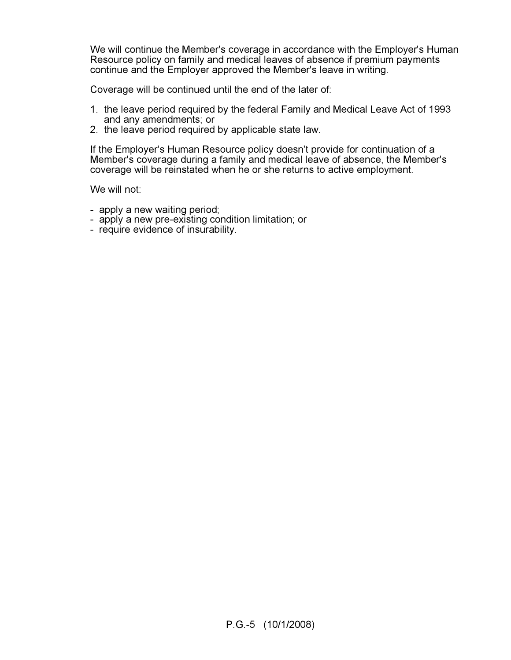We will continue the Member's coverage in accordance with the Employer's Human Resource policy on family and medical leaves of absence if premium payments continue and the Employer approved the Member's leave in writing.

Coverage will be continued until the end of the later of:

- 1. the leave period required by the federal Family and Medical Leave Act of 1993 and any amendments; or
- 2. the leave period required by applicable state law.

If the Employer's Human Resource policy doesn't provide for continuation of a Member's coverage during a family and medical leave of absence, the Member's coverage will be reinstated when he or she returns to active employment.

We will not:

- apply a new waiting period;
- apply a new pre-existing condition limitation; or
- require evidence of insurability.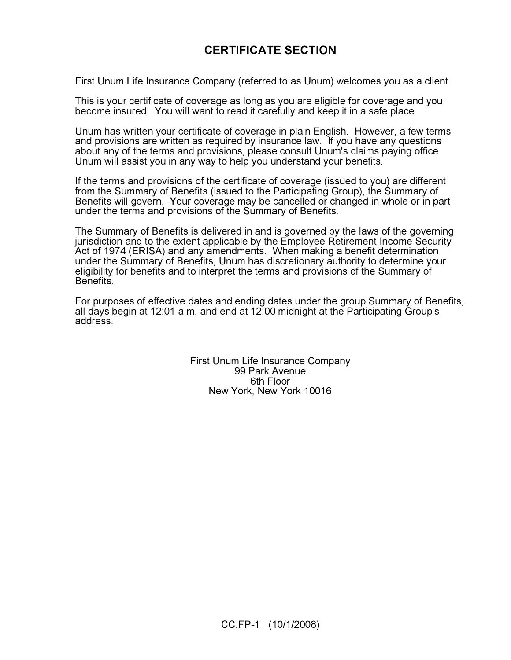# CERTIFICATE SECTION

First Unum Life Insurance Company (referred to as Unum) welcomes you as a client.

This is your certificate of coverage as long as you are eligible for coverage and you become insured. You will want to read it carefully and keep it in a safe place.

Unum has written your certificate of coverage in plain English. However, a few terms and provisions are written as required by insurance law. If you have any questions about any of the terms and provisions, please consult Unum's claims paying office. Unum will assist you in any way to help you understand your benefits.

If the terms and provisions of the certificate of coverage (issued to you) are different from the Summary of Benefits (issued to the Participating Group), the Summary of Benefits will govern. Your coverage may be cancelled or changed in whole or in part under the terms and provisions of the Summary of Benefits.

The Summary of Benefits is delivered in and is governed by the laws of the governing jurisdiction and to the extent applicable by the Employee Retirement Income Security Act of 1974 (ERISA) and any amendments. When making a benefit determination under the Summary of Benefits, Unum has discretionary authority to determine your eligibility for benefits and to interpret the terms and provisions of the Summary of **Benefits** 

For purposes of effective dates and ending dates under the group Summary of Benefits, all days begin at 12:01 a.m. and end at 12:00 midnight at the Participating Group's address.

> First Unum Life Insurance Company 99 Park Avenue 6th Floor New York, New York 10016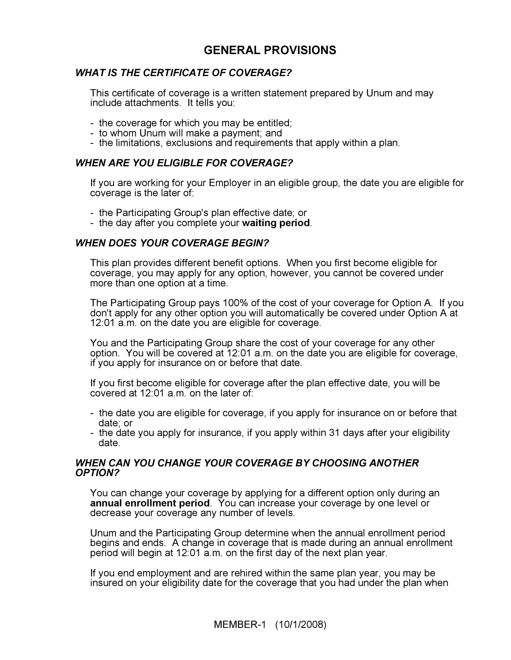# GENERAL PROVISIONS

## WHAT IS THE CERTIFICATE OF COVERAGE?

This certificate of coverage is a written statement prepared by Unum and may include attachments. It tells you:

- the coverage for which you may be entitled;
- to whom Unum will make a payment; and
- the limitations, exclusions and requirements that apply within a plan.

#### WHEN ARE YOU ELIGIBLE FOR COVERAGE?

If you are working for your Employer in an eligible group, the date you are eligible for coverage is the later of:

- the Participating Group's plan effective date; or
- the day after you complete your waiting period.

## WHEN DOES YOUR COVERAGE BEGIN?

This plan provides different benefit options. When you first become eligible for coverage, you may apply for any option, however, you cannot be covered under more than one option at a time.

The Participating Group pays 100% of the cost of your coverage for Option A. If you don't apply for any other option you will automatically be covered under Option A at 12:01 a.m. on the date you are eligible for coverage.

You and the Participating Group share the cost of your coverage for any other option. You will be covered at 12:01 a.m. on the date you are eligible for coverage, if you apply for insurance on or before that date.

If you first become eligible for coverage after the plan effective date, you will be covered at 12:01 a.m. on the later of:

- the date you are eligible for coverage, if you apply for insurance on or before that date; or
- the date you apply for insurance, if you apply within 31 days after your eligibility date.

#### WHEN CAN YOU CHANGE YOUR COVERAGE BY CHOOSING ANOTHER OPTION?

You can change your coverage by applying for a different option only during an annual enrollment period. You can increase your coverage by one level or decrease your coverage any number of levels.

Unum and the Participating Group determine when the annual enrollment period begins and ends. A change in coverage that is made during an annual enrollment period will begin at 12:01 a.m. on the first day of the next plan year.

If you end employment and are rehired within the same plan year, you may be insured on your eligibility date for the coverage that you had under the plan when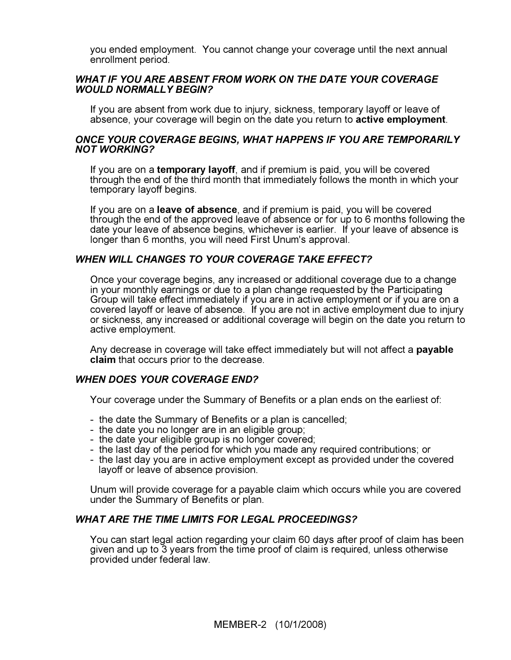you ended employment. You cannot change your coverage until the next annual enrollment period.

#### WHAT IF YOU ARE ABSENT FROM WORK ON THE DATE YOUR COVERAGE WOULD NORMALLY BEGIN?

If you are absent from work due to injury, sickness, temporary layoff or leave of absence, your coverage will begin on the date you return to active employment.

#### ONCE YOUR COVERAGE BEGINS, WHAT HAPPENS IF YOU ARE TEMPORARILY NOT WORKING?

If you are on a temporary layoff, and if premium is paid, you will be covered through the end of the third month that immediately follows the month in which your temporary layoff begins.

If you are on a leave of absence, and if premium is paid, you will be covered through the end of the approved leave of absence or for up to 6 months following the date your leave of absence begins, whichever is earlier. If your leave of absence is longer than 6 months, you will need First Unum's approval.

#### WHEN WILL CHANGES TO YOUR COVERAGE TAKE EFFECT?

Once your coverage begins, any increased or additional coverage due to a change in your monthly earnings or due to a plan change requested by the Participating Group will take effect immediately if you are in active employment or if you are on a covered layoff or leave of absence. If you are not in active employment due to injury or sickness, any increased or additional coverage will begin on the date you return to active employment.

Any decrease in coverage will take effect immediately but will not affect a payable claim that occurs prior to the decrease.

#### WHEN DOES YOUR COVERAGE END?

Your coverage under the Summary of Benefits or a plan ends on the earliest of:

- the date the Summary of Benefits or a plan is cancelled;
- the date you no longer are in an eligible group;
- the date your eligible group is no longer covered;
- the last day of the period for which you made any required contributions; or
- the last day you are in active employment except as provided under the covered layoff or leave of absence provision.

Unum will provide coverage for a payable claim which occurs while you are covered under the Summary of Benefits or plan.

#### WHAT ARE THE TIME LIMITS FOR LEGAL PROCEEDINGS?

You can start legal action regarding your claim 60 days after proof of claim has been given and up to 3 years from the time proof of claim is required, unless otherwise provided under federal law.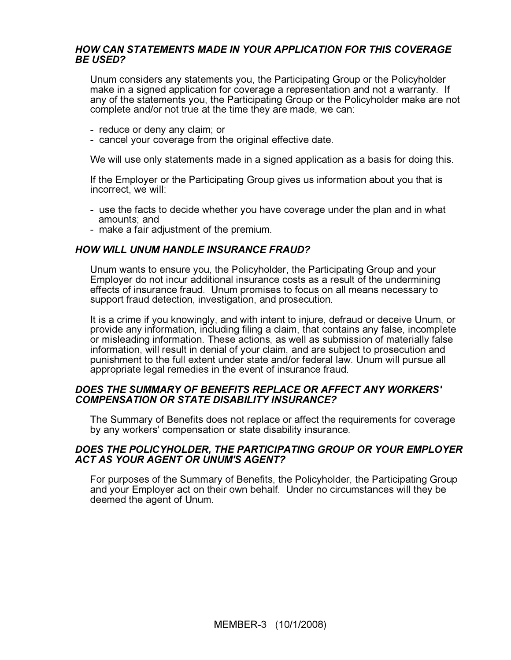#### HOW CAN STATEMENTS MADE IN YOUR APPLICATION FOR THIS COVERAGE BE USED?

Unum considers any statements you, the Participating Group or the Policyholder make in a signed application for coverage a representation and not a warranty. If any of the statements you, the Participating Group or the Policyholder make are not complete and/or not true at the time they are made, we can:

- reduce or deny any claim; or
- cancel your coverage from the original effective date.

We will use only statements made in a signed application as a basis for doing this.

If the Employer or the Participating Group gives us information about you that is incorrect, we will:

- use the facts to decide whether you have coverage under the plan and in what amounts; and
- make a fair adjustment of the premium.

#### HOW WILL UNUM HANDLE INSURANCE FRAUD?

Unum wants to ensure you, the Policyholder, the Participating Group and your Employer do not incur additional insurance costs as a result of the undermining effects of insurance fraud. Unum promises to focus on all means necessary to support fraud detection, investigation, and prosecution.

It is a crime if you knowingly, and with intent to injure, defraud or deceive Unum, or provide any information, including filing a claim, that contains any false, incomplete or misleading information. These actions, as well as submission of materially false information, will result in denial of your claim, and are subject to prosecution and punishment to the full extent under state and/or federal law. Unum will pursue all appropriate legal remedies in the event of insurance fraud.

#### DOES THE SUMMARY OF BENEFITS REPLACE OR AFFECT ANY WORKERS' COMPENSATION OR STATE DISABILITY INSURANCE?

The Summary of Benefits does not replace or affect the requirements for coverage by any workers' compensation or state disability insurance.

#### DOES THE POLICYHOLDER, THE PARTICIPATING GROUP OR YOUR EMPLOYER ACT AS YOUR AGENT OR UNUM'S AGENT?

For purposes of the Summary of Benefits, the Policyholder, the Participating Group and your Employer act on their own behalf. Under no circumstances will they be deemed the agent of Unum.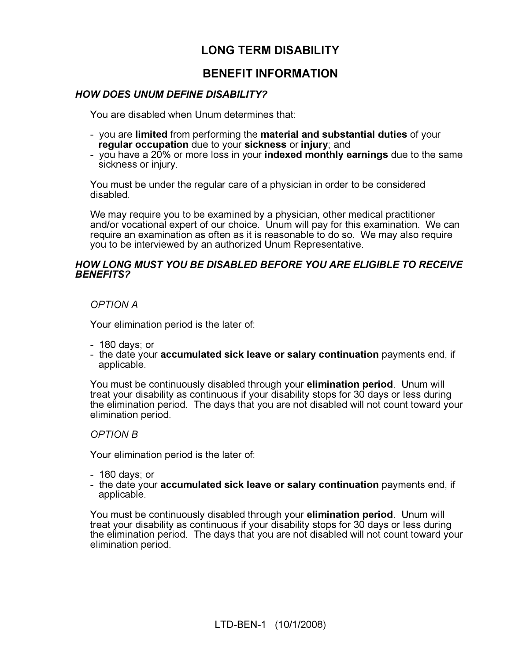# LONG TERM DISABILITY

# BENEFIT INFORMATION

## HOW DOES UNUM DEFINE DISABILITY?

You are disabled when Unum determines that:

- you are limited from performing the material and substantial duties of your regular occupation due to your sickness or injury; and
- you have a 20% or more loss in your **indexed monthly earnings** due to the same sickness or injury.

You must be under the regular care of a physician in order to be considered disabled.

We may require you to be examined by a physician, other medical practitioner and/or vocational expert of our choice. Unum will pay for this examination. We can require an examination as often as it is reasonable to do so. We may also require you to be interviewed by an authorized Unum Representative.

#### HOW LONG MUST YOU BE DISABLED BEFORE YOU ARE ELIGIBLE TO RECEIVE BENEFITS?

OPTION A

Your elimination period is the later of:

- 180 days; or
- the date your accumulated sick leave or salary continuation payments end, if applicable.

You must be continuously disabled through your elimination period. Unum will treat your disability as continuous if your disability stops for 30 days or less during the elimination period. The days that you are not disabled will not count toward your elimination period.

#### OPTION B

Your elimination period is the later of:

- 180 days; or
- the date your accumulated sick leave or salary continuation payments end, if applicable.

You must be continuously disabled through your elimination period. Unum will treat your disability as continuous if your disability stops for 30 days or less during the elimination period. The days that you are not disabled will not count toward your elimination period.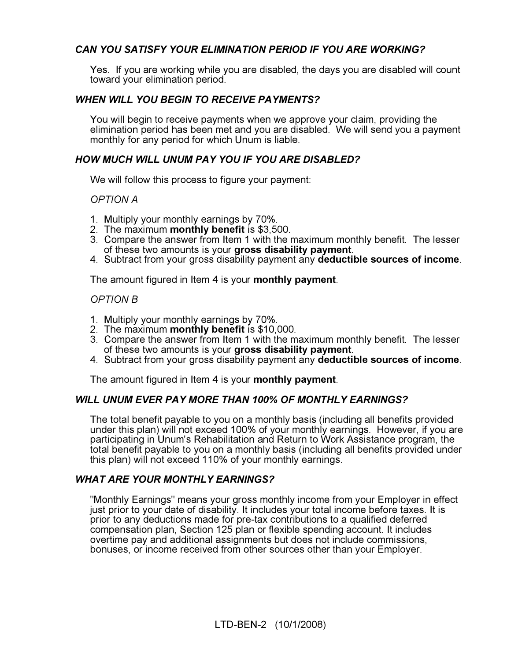# CAN YOU SATISFY YOUR ELIMINATION PERIOD IF YOU ARE WORKING?

Yes. If you are working while you are disabled, the days you are disabled will count toward your elimination period.

## WHEN WILL YOU BEGIN TO RECEIVE PAYMENTS?

You will begin to receive payments when we approve your claim, providing the elimination period has been met and you are disabled. We will send you a payment monthly for any period for which Unum is liable.

## HOW MUCH WILL UNUM PAY YOU IF YOU ARE DISABLED?

We will follow this process to figure your payment:

OPTION A

- 1. Multiply your monthly earnings by 70%.
- 2. The maximum **monthly benefit** is \$3,500.
- 3. Compare the answer from Item 1 with the maximum monthly benefit. The lesser of these two amounts is your gross disability payment.
- 4. Subtract from your gross disability payment any deductible sources of income.

The amount figured in Item 4 is your monthly payment.

#### OPTION B

- 1. Multiply your monthly earnings by 70%.
- 2. The maximum monthly benefit is \$10,000.
- 3. Compare the answer from Item 1 with the maximum monthly benefit. The lesser of these two amounts is your gross disability payment.
- 4. Subtract from your gross disability payment any deductible sources of income.

The amount figured in Item 4 is your **monthly payment**.

#### WILL UNUM EVER PAY MORE THAN 100% OF MONTHLY EARNINGS?

The total benefit payable to you on a monthly basis (including all benefits provided under this plan) will not exceed 100% of your monthly earnings. However, if you are participating in Unum's Rehabilitation and Return to Work Assistance program, the total benefit payable to you on a monthly basis (including all benefits provided under this plan) will not exceed 110% of your monthly earnings.

#### WHAT ARE YOUR MONTHLY EARNINGS?

"Monthly Earnings" means your gross monthly income from your Employer in effect just prior to your date of disability. It includes your total income before taxes. It is prior to any deductions made for pre-tax contributions to a qualified deferred compensation plan, Section 125 plan or flexible spending account. It includes overtime pay and additional assignments but does not include commissions, bonuses, or income received from other sources other than your Employer.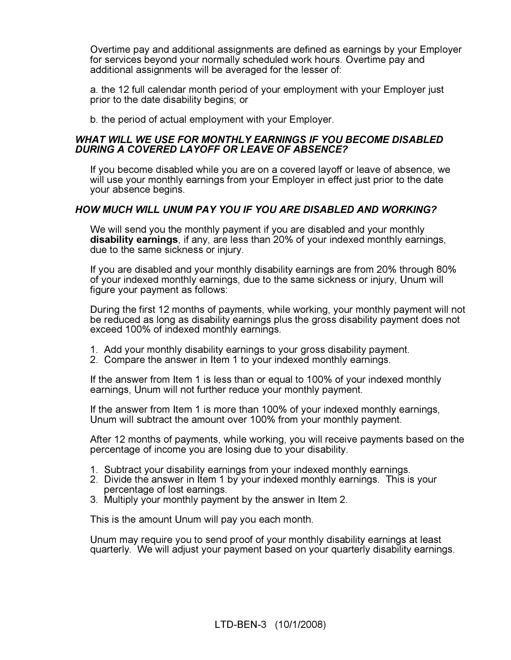Overtime pay and additional assignments are defined as earnings by your Employer for services beyond your normally scheduled work hours. Overtime pay and additional assignments will be averaged for the lesser of:

a. the 12 full calendar month period of your employment with your Employer just prior to the date disability begins; or

b. the period of actual employment with your Employer.

#### WHAT WILL WE USE FOR MONTHLY EARNINGS IF YOU BECOME DISABLED DURING A COVERED LAYOFF OR LEAVE OF ABSENCE?

If you become disabled while you are on a covered layoff or leave of absence, we will use your monthly earnings from your Employer in effect just prior to the date your absence begins.

## HOW MUCH WILL UNUM PAY YOU IF YOU ARE DISABLED AND WORKING?

We will send you the monthly payment if you are disabled and your monthly disability earnings, if any, are less than 20% of your indexed monthly earnings, due to the same sickness or injury.

If you are disabled and your monthly disability earnings are from 20% through 80% of your indexed monthly earnings, due to the same sickness or injury, Unum will figure your payment as follows:

During the first 12 months of payments, while working, your monthly payment will not be reduced as long as disability earnings plus the gross disability payment does not exceed 100% of indexed monthly earnings.

- 1. Add your monthly disability earnings to your gross disability payment.
- 2. Compare the answer in Item 1 to your indexed monthly earnings.

If the answer from Item 1 is less than or equal to 100% of your indexed monthly earnings, Unum will not further reduce your monthly payment.

If the answer from Item 1 is more than 100% of your indexed monthly earnings, Unum will subtract the amount over 100% from your monthly payment.

After 12 months of payments, while working, you will receive payments based on the percentage of income you are losing due to your disability.

- 1. Subtract your disability earnings from your indexed monthly earnings.
- 2. Divide the answer in Item 1 by your indexed monthly earnings. This is your percentage of lost earnings.
- 3. Multiply your monthly payment by the answer in Item 2.

This is the amount Unum will pay you each month.

Unum may require you to send proof of your monthly disability earnings at least quarterly. We will adjust your payment based on your quarterly disability earnings.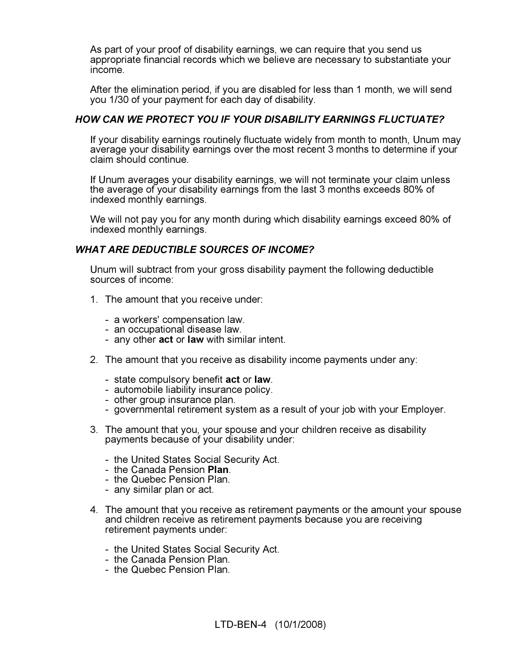As part of your proof of disability earnings, we can require that you send us appropriate financial records which we believe are necessary to substantiate your income.

After the elimination period, if you are disabled for less than 1 month, we will send you 1/30 of your payment for each day of disability.

## HOW CAN WE PROTECT YOU IF YOUR DISABILITY EARNINGS FLUCTUATE?

If your disability earnings routinely fluctuate widely from month to month, Unum may average your disability earnings over the most recent 3 months to determine if your claim should continue.

If Unum averages your disability earnings, we will not terminate your claim unless the average of your disability earnings from the last 3 months exceeds 80% of indexed monthly earnings.

We will not pay you for any month during which disability earnings exceed 80% of indexed monthly earnings.

## WHAT ARE DEDUCTIBLE SOURCES OF INCOME?

Unum will subtract from your gross disability payment the following deductible sources of income:

- 1. The amount that you receive under:
	- a workers' compensation law.
	- an occupational disease law.
	- any other **act** or **law** with similar intent.
- 2. The amount that you receive as disability income payments under any:
	- state compulsory benefit **act** or **law**.
	- automobile liability insurance policy.
	- other group insurance plan.
	- governmental retirement system as a result of your job with your Employer.
- 3. The amount that you, your spouse and your children receive as disability payments because of your disability under:
	- the United States Social Security Act.
	- the Canada Pension Plan.
	- the Quebec Pension Plan.
	- any similar plan or act.
- 4. The amount that you receive as retirement payments or the amount your spouse and children receive as retirement payments because you are receiving retirement payments under:
	- the United States Social Security Act.
	- the Canada Pension Plan.
	- the Quebec Pension Plan.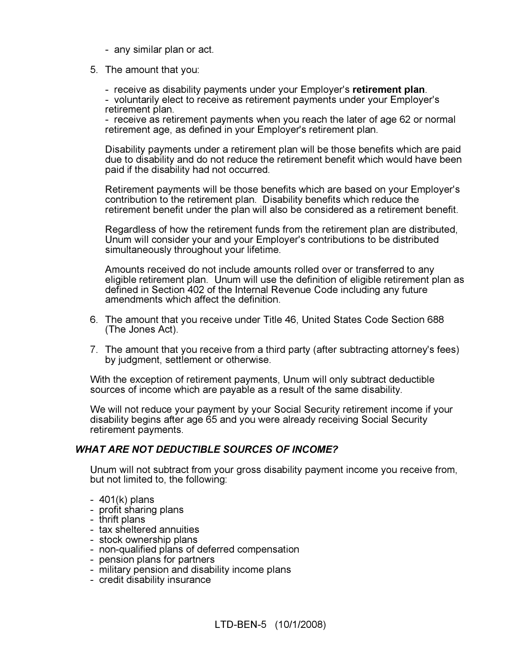- any similar plan or act.
- 5. The amount that you:
	- receive as disability payments under your Employer's retirement plan.

- voluntarily elect to receive as retirement payments under your Employer's retirement plan.

- receive as retirement payments when you reach the later of age 62 or normal retirement age, as defined in your Employer's retirement plan.

Disability payments under a retirement plan will be those benefits which are paid due to disability and do not reduce the retirement benefit which would have been paid if the disability had not occurred.

Retirement payments will be those benefits which are based on your Employer's contribution to the retirement plan. Disability benefits which reduce the retirement benefit under the plan will also be considered as a retirement benefit.

Regardless of how the retirement funds from the retirement plan are distributed, Unum will consider your and your Employer's contributions to be distributed simultaneously throughout your lifetime.

Amounts received do not include amounts rolled over or transferred to any eligible retirement plan. Unum will use the definition of eligible retirement plan as defined in Section 402 of the Internal Revenue Code including any future amendments which affect the definition.

- 6. The amount that you receive under Title 46, United States Code Section 688 (The Jones Act).
- 7. The amount that you receive from a third party (after subtracting attorney's fees) by judgment, settlement or otherwise.

With the exception of retirement payments, Unum will only subtract deductible sources of income which are payable as a result of the same disability.

We will not reduce your payment by your Social Security retirement income if your disability begins after age 65 and you were already receiving Social Security retirement payments.

#### WHAT ARE NOT DEDUCTIBLE SOURCES OF INCOME?

Unum will not subtract from your gross disability payment income you receive from, but not limited to, the following:

- 401(k) plans
- profit sharing plans
- thrift plans
- tax sheltered annuities
- stock ownership plans
- non-qualified plans of deferred compensation
- pension plans for partners
- military pension and disability income plans
- credit disability insurance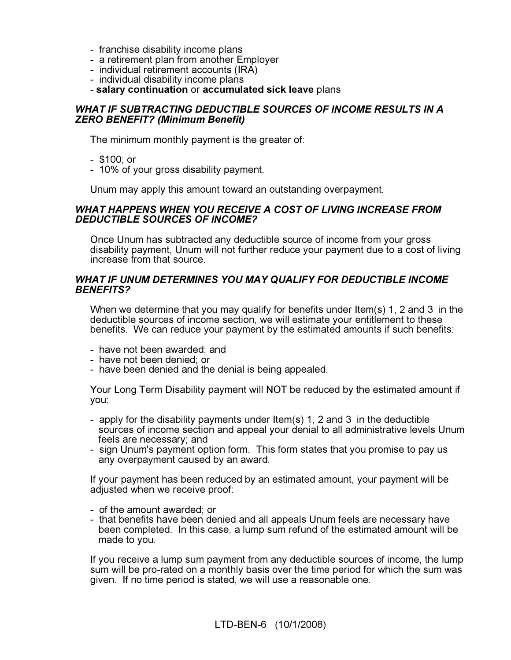- franchise disability income plans
- a retirement plan from another Employer
- individual retirement accounts (IRA)
- individual disability income plans
- salary continuation or accumulated sick leave plans

#### WHAT IF SUBTRACTING DEDUCTIBLE SOURCES OF INCOME RESULTS IN A ZERO BENEFIT? (Minimum Benefit)

The minimum monthly payment is the greater of:

- \$100; or
- 10% of your gross disability payment.

Unum may apply this amount toward an outstanding overpayment.

#### WHAT HAPPENS WHEN YOU RECEIVE A COST OF LIVING INCREASE FROM DEDUCTIBLE SOURCES OF INCOME?

Once Unum has subtracted any deductible source of income from your gross disability payment, Unum will not further reduce your payment due to a cost of living increase from that source.

#### WHAT IF UNUM DETERMINES YOU MAY QUALIFY FOR DEDUCTIBLE INCOME BENEFITS?

When we determine that you may qualify for benefits under Item(s) 1, 2 and 3 in the deductible sources of income section, we will estimate your entitlement to these benefits. We can reduce your payment by the estimated amounts if such benefits:

- have not been awarded; and
- have not been denied; or
- have been denied and the denial is being appealed.

Your Long Term Disability payment will NOT be reduced by the estimated amount if you:

- apply for the disability payments under Item(s) 1, 2 and 3 in the deductible sources of income section and appeal your denial to all administrative levels Unum feels are necessary; and
- sign Unum's payment option form. This form states that you promise to pay us any overpayment caused by an award.

If your payment has been reduced by an estimated amount, your payment will be adjusted when we receive proof:

- of the amount awarded; or
- that benefits have been denied and all appeals Unum feels are necessary have been completed. In this case, a lump sum refund of the estimated amount will be made to you.

If you receive a lump sum payment from any deductible sources of income, the lump sum will be pro-rated on a monthly basis over the time period for which the sum was given. If no time period is stated, we will use a reasonable one.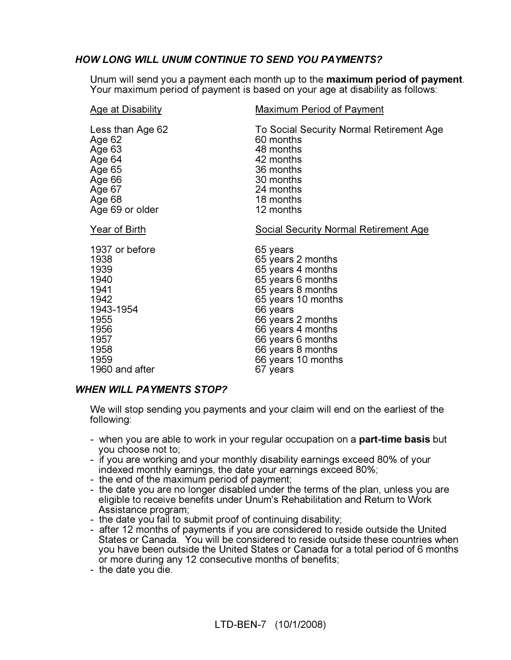# HOW LONG WILL UNUM CONTINUE TO SEND YOU PAYMENTS?

Unum will send you a payment each month up to the **maximum period of payment**.<br>Your maximum period of payment is based on your age at disability as follows:

| <b>Age at Disability</b> | <b>Maximum Period of Payment</b>             |
|--------------------------|----------------------------------------------|
| Less than Age 62         | To Social Security Normal Retirement Age     |
| Age 62                   | 60 months                                    |
| Age 63                   | 48 months                                    |
| Age 64                   | 42 months                                    |
| Age 65                   | 36 months                                    |
| Age 66                   | 30 months                                    |
| Age 67                   | 24 months                                    |
| Age 68                   | 18 months                                    |
| Age 69 or older          | 12 months                                    |
| <u>Year of Birth</u>     | <b>Social Security Normal Retirement Age</b> |
| 1937 or before           | 65 years                                     |
| 1938                     | 65 years 2 months                            |
| 1939                     | 65 years 4 months                            |
| 1940                     | 65 years 6 months                            |
| 1941                     | 65 years 8 months                            |
| 1942                     | 65 years 10 months                           |
| 1943-1954                | 66 years                                     |
| 1955                     | 66 years 2 months                            |
| 1956                     | 66 years 4 months                            |
| 1957                     | 66 years 6 months                            |
| 1958                     | 66 years 8 months                            |
| 1959                     | 66 years 10 months                           |
| 1960 and after           | 67 years                                     |

## WHEN WILL PAYMENTS STOP?

We will stop sending you payments and your claim will end on the earliest of the following:

- when you are able to work in your regular occupation on a part-time basis but you choose not to;
- if you are working and your monthly disability earnings exceed 80% of your indexed monthly earnings, the date your earnings exceed 80%;
- the end of the maximum period of payment;
- the date you are no longer disabled under the terms of the plan, unless you are eligible to receive benefits under Unum's Rehabilitation and Return to Work Assistance program;
- the date you fail to submit proof of continuing disability;
- after 12 months of payments if you are considered to reside outside the United States or Canada. You will be considered to reside outside these countries when you have been outside the United States or Canada for a total period of 6 months or more during any 12 consecutive months of benefits;
- the date you die.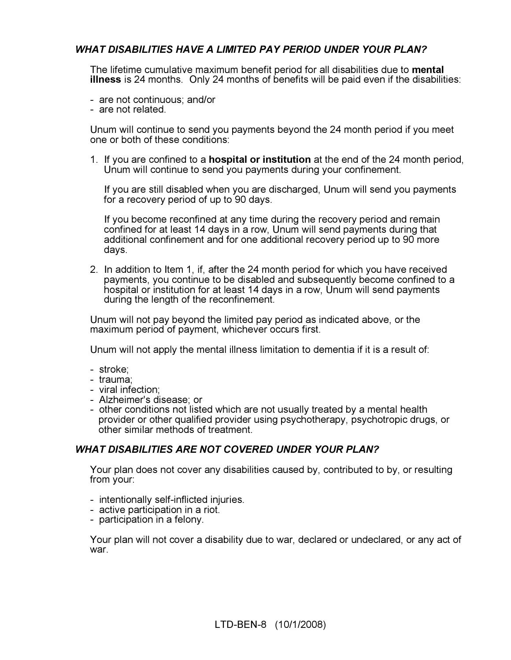# WHAT DISABILITIES HAVE A LIMITED PAY PERIOD UNDER YOUR PLAN?

The lifetime cumulative maximum benefit period for all disabilities due to **mental** illness is 24 months. Only 24 months of benefits will be paid even if the disabilities:

- are not continuous; and/or
- are not related.

Unum will continue to send you payments beyond the 24 month period if you meet one or both of these conditions:

1. If you are confined to a hospital or institution at the end of the 24 month period, Unum will continue to send you payments during your confinement.

 If you are still disabled when you are discharged, Unum will send you payments for a recovery period of up to 90 days.

 If you become reconfined at any time during the recovery period and remain confined for at least 14 days in a row, Unum will send payments during that additional confinement and for one additional recovery period up to 90 more days.

2. In addition to Item 1, if, after the 24 month period for which you have received payments, you continue to be disabled and subsequently become confined to a hospital or institution for at least 14 days in a row, Unum will send payments during the length of the reconfinement.

Unum will not pay beyond the limited pay period as indicated above, or the maximum period of payment, whichever occurs first.

Unum will not apply the mental illness limitation to dementia if it is a result of:

- stroke;
- trauma;
- viral infection;
- Alzheimer's disease; or
- other conditions not listed which are not usually treated by a mental health provider or other qualified provider using psychotherapy, psychotropic drugs, or other similar methods of treatment.

#### WHAT DISABILITIES ARE NOT COVERED UNDER YOUR PLAN?

Your plan does not cover any disabilities caused by, contributed to by, or resulting from your:

- intentionally self-inflicted injuries.
- active participation in a riot.
- participation in a felony.

Your plan will not cover a disability due to war, declared or undeclared, or any act of war.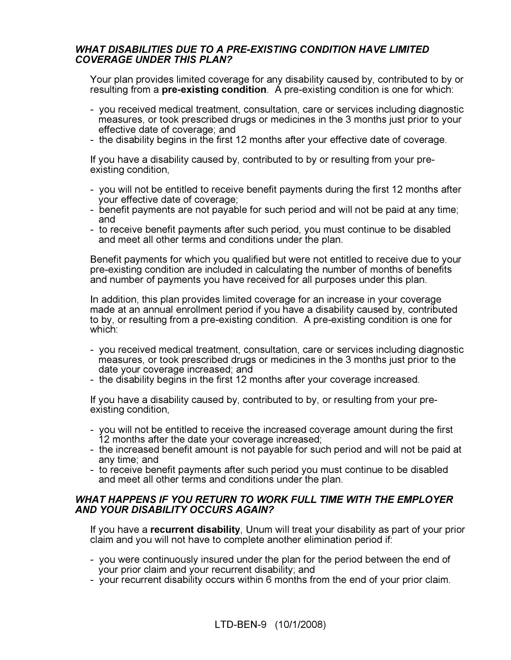## WHAT DISABILITIES DUE TO A PRE-EXISTING CONDITION HAVE LIMITED COVERAGE UNDER THIS PLAN?

Your plan provides limited coverage for any disability caused by, contributed to by or resulting from a **pre-existing condition**. A pre-existing condition is one for which:

- you received medical treatment, consultation, care or services including diagnostic measures, or took prescribed drugs or medicines in the 3 months just prior to your effective date of coverage; and
- the disability begins in the first 12 months after your effective date of coverage.

If you have a disability caused by, contributed to by or resulting from your preexisting condition,

- you will not be entitled to receive benefit payments during the first 12 months after your effective date of coverage;
- benefit payments are not payable for such period and will not be paid at any time; and
- to receive benefit payments after such period, you must continue to be disabled and meet all other terms and conditions under the plan.

Benefit payments for which you qualified but were not entitled to receive due to your pre-existing condition are included in calculating the number of months of benefits and number of payments you have received for all purposes under this plan.

In addition, this plan provides limited coverage for an increase in your coverage made at an annual enrollment period if you have a disability caused by, contributed to by, or resulting from a pre-existing condition. A pre-existing condition is one for which:

- you received medical treatment, consultation, care or services including diagnostic measures, or took prescribed drugs or medicines in the 3 months just prior to the date your coverage increased; and
- the disability begins in the first 12 months after your coverage increased.

If you have a disability caused by, contributed to by, or resulting from your preexisting condition,

- you will not be entitled to receive the increased coverage amount during the first 12 months after the date your coverage increased;
- the increased benefit amount is not payable for such period and will not be paid at any time; and
- to receive benefit payments after such period you must continue to be disabled and meet all other terms and conditions under the plan.

#### WHAT HAPPENS IF YOU RETURN TO WORK FULL TIME WITH THE EMPLOYER AND YOUR DISABILITY OCCURS AGAIN?

If you have a recurrent disability, Unum will treat your disability as part of your prior claim and you will not have to complete another elimination period if:

- you were continuously insured under the plan for the period between the end of your prior claim and your recurrent disability; and
- your recurrent disability occurs within 6 months from the end of your prior claim.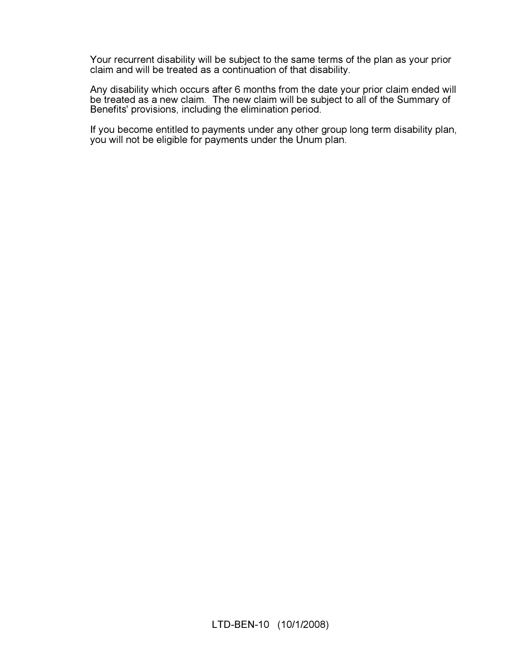Your recurrent disability will be subject to the same terms of the plan as your prior claim and will be treated as a continuation of that disability.

Any disability which occurs after 6 months from the date your prior claim ended will be treated as a new claim. The new claim will be subject to all of the Summary of Benefits' provisions, including the elimination period.

If you become entitled to payments under any other group long term disability plan, you will not be eligible for payments under the Unum plan.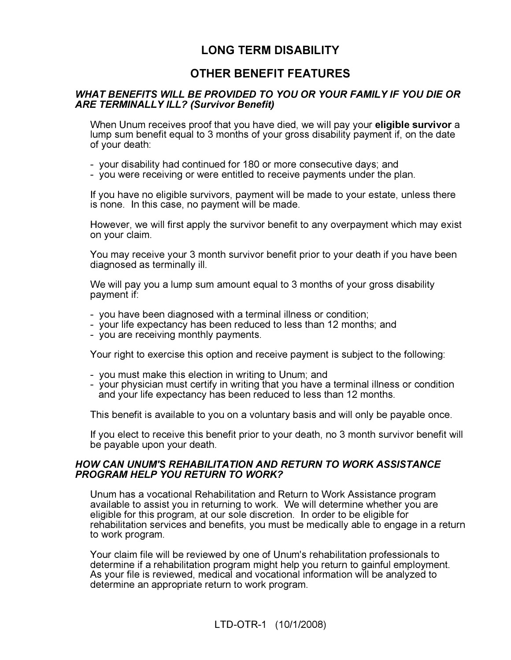# LONG TERM DISABILITY

# OTHER BENEFIT FEATURES

## WHAT BENEFITS WILL BE PROVIDED TO YOU OR YOUR FAMILY IF YOU DIE OR ARE TERMINALLY ILL? (Survivor Benefit)

When Unum receives proof that you have died, we will pay your **eligible survivor** a lump sum benefit equal to 3 months of your gross disability payment if, on the date of your death:

- your disability had continued for 180 or more consecutive days; and
- you were receiving or were entitled to receive payments under the plan.

If you have no eligible survivors, payment will be made to your estate, unless there is none. In this case, no payment will be made.

However, we will first apply the survivor benefit to any overpayment which may exist on your claim.

You may receive your 3 month survivor benefit prior to your death if you have been diagnosed as terminally ill.

We will pay you a lump sum amount equal to 3 months of your gross disability payment if:

- you have been diagnosed with a terminal illness or condition;
- your life expectancy has been reduced to less than 12 months; and
- you are receiving monthly payments.

Your right to exercise this option and receive payment is subject to the following:

- you must make this election in writing to Unum; and
- your physician must certify in writing that you have a terminal illness or condition and your life expectancy has been reduced to less than 12 months.

This benefit is available to you on a voluntary basis and will only be payable once.

If you elect to receive this benefit prior to your death, no 3 month survivor benefit will be payable upon your death.

#### HOW CAN UNUM'S REHABILITATION AND RETURN TO WORK ASSISTANCE PROGRAM HELP YOU RETURN TO WORK?

Unum has a vocational Rehabilitation and Return to Work Assistance program available to assist you in returning to work. We will determine whether you are eligible for this program, at our sole discretion. In order to be eligible for rehabilitation services and benefits, you must be medically able to engage in a return to work program.

Your claim file will be reviewed by one of Unum's rehabilitation professionals to determine if a rehabilitation program might help you return to gainful employment. As your file is reviewed, medical and vocational information will be analyzed to determine an appropriate return to work program.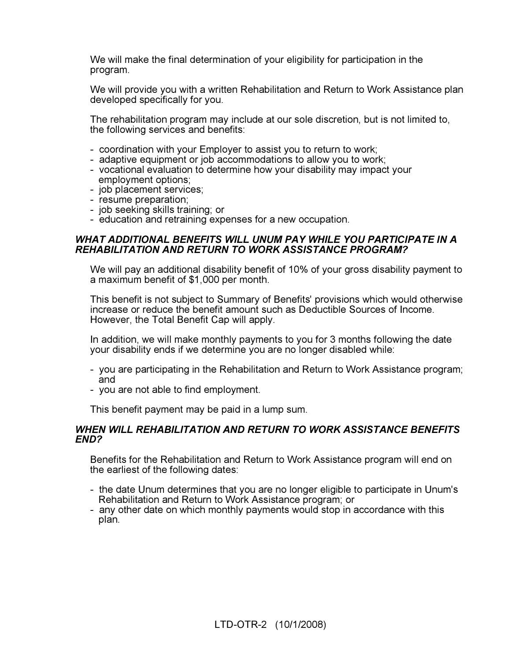We will make the final determination of your eligibility for participation in the program.

We will provide you with a written Rehabilitation and Return to Work Assistance plan developed specifically for you.

The rehabilitation program may include at our sole discretion, but is not limited to, the following services and benefits:

- coordination with your Employer to assist you to return to work;
- adaptive equipment or job accommodations to allow you to work;
- vocational evaluation to determine how your disability may impact your employment options;
- job placement services;
- resume preparation;
- job seeking skills training; or
- education and retraining expenses for a new occupation.

#### WHAT ADDITIONAL BENEFITS WILL UNUM PAY WHILE YOU PARTICIPATE IN A REHABILITATION AND RETURN TO WORK ASSISTANCE PROGRAM?

We will pay an additional disability benefit of 10% of your gross disability payment to a maximum benefit of \$1,000 per month.

This benefit is not subject to Summary of Benefits' provisions which would otherwise increase or reduce the benefit amount such as Deductible Sources of Income. However, the Total Benefit Cap will apply.

In addition, we will make monthly payments to you for 3 months following the date your disability ends if we determine you are no longer disabled while:

- you are participating in the Rehabilitation and Return to Work Assistance program; and
- you are not able to find employment.

This benefit payment may be paid in a lump sum.

#### WHEN WILL REHABILITATION AND RETURN TO WORK ASSISTANCE BENEFITS END?

Benefits for the Rehabilitation and Return to Work Assistance program will end on the earliest of the following dates:

- the date Unum determines that you are no longer eligible to participate in Unum's Rehabilitation and Return to Work Assistance program; or
- any other date on which monthly payments would stop in accordance with this plan.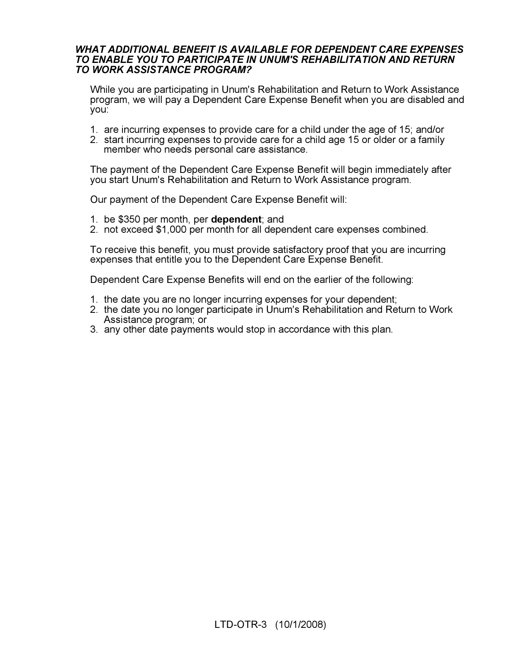#### WHAT ADDITIONAL BENEFIT IS AVAILABLE FOR DEPENDENT CARE EXPENSES TO ENABLE YOU TO PARTICIPATE IN UNUM'S REHABILITATION AND RETURN TO WORK ASSISTANCE PROGRAM?

While you are participating in Unum's Rehabilitation and Return to Work Assistance program, we will pay a Dependent Care Expense Benefit when you are disabled and you:

- 1. are incurring expenses to provide care for a child under the age of 15; and/or
- 2. start incurring expenses to provide care for a child age 15 or older or a family member who needs personal care assistance.

The payment of the Dependent Care Expense Benefit will begin immediately after you start Unum's Rehabilitation and Return to Work Assistance program.

Our payment of the Dependent Care Expense Benefit will:

- 1. be \$350 per month, per dependent; and
- 2. not exceed \$1,000 per month for all dependent care expenses combined.

To receive this benefit, you must provide satisfactory proof that you are incurring expenses that entitle you to the Dependent Care Expense Benefit.

Dependent Care Expense Benefits will end on the earlier of the following:

- 1. the date you are no longer incurring expenses for your dependent;
- 2. the date you no longer participate in Unum's Rehabilitation and Return to Work Assistance program; or
- 3. any other date payments would stop in accordance with this plan.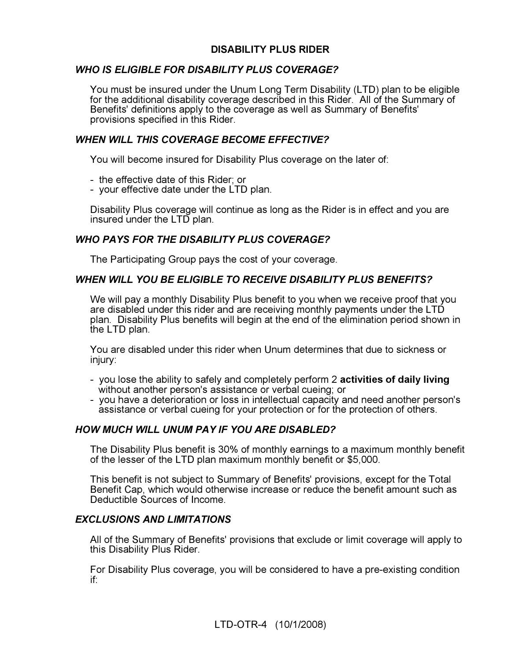# DISABILITY PLUS RIDER

## WHO IS ELIGIBLE FOR DISABILITY PLUS COVERAGE?

You must be insured under the Unum Long Term Disability (LTD) plan to be eligible for the additional disability coverage described in this Rider. All of the Summary of Benefits' definitions apply to the coverage as well as Summary of Benefits' provisions specified in this Rider.

## WHEN WILL THIS COVERAGE BECOME EFFECTIVE?

You will become insured for Disability Plus coverage on the later of:

- the effective date of this Rider; or
- your effective date under the LTD plan.

Disability Plus coverage will continue as long as the Rider is in effect and you are insured under the LTD plan.

## WHO PAYS FOR THE DISABILITY PLUS COVERAGE?

The Participating Group pays the cost of your coverage.

## WHEN WILL YOU BE ELIGIBLE TO RECEIVE DISABILITY PLUS BENEFITS?

We will pay a monthly Disability Plus benefit to you when we receive proof that you are disabled under this rider and are receiving monthly payments under the LTD plan. Disability Plus benefits will begin at the end of the elimination period shown in the LTD plan.

You are disabled under this rider when Unum determines that due to sickness or injury:

- you lose the ability to safely and completely perform 2 activities of daily living without another person's assistance or verbal cueing; or
- you have a deterioration or loss in intellectual capacity and need another person's assistance or verbal cueing for your protection or for the protection of others.

## HOW MUCH WILL UNUM PAY IF YOU ARE DISABLED?

The Disability Plus benefit is 30% of monthly earnings to a maximum monthly benefit of the lesser of the LTD plan maximum monthly benefit or \$5,000.

This benefit is not subject to Summary of Benefits' provisions, except for the Total Benefit Cap, which would otherwise increase or reduce the benefit amount such as Deductible Sources of Income.

#### EXCLUSIONS AND LIMITATIONS

All of the Summary of Benefits' provisions that exclude or limit coverage will apply to this Disability Plus Rider.

For Disability Plus coverage, you will be considered to have a pre-existing condition if: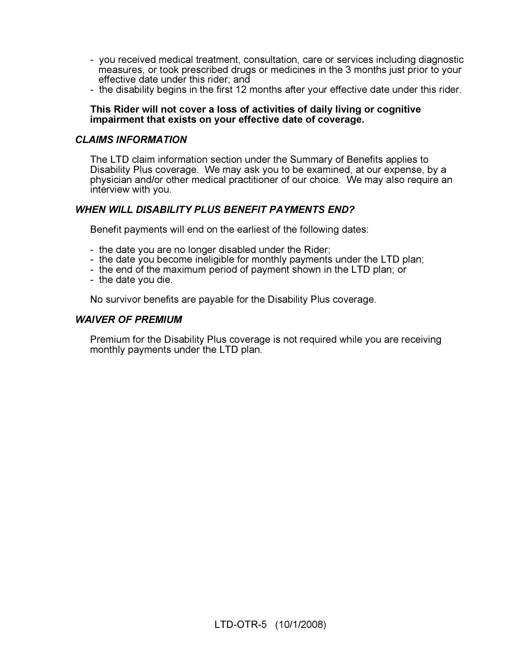- you received medical treatment, consultation, care or services including diagnostic measures, or took prescribed drugs or medicines in the 3 months just prior to your effective date under this rider; and
- the disability begins in the first 12 months after your effective date under this rider.

#### This Rider will not cover a loss of activities of daily living or cognitive impairment that exists on your effective date of coverage.

#### CLAIMS INFORMATION

The LTD claim information section under the Summary of Benefits applies to Disability Plus coverage. We may ask you to be examined, at our expense, by a physician and/or other medical practitioner of our choice. We may also require an interview with you.

## WHEN WILL DISABILITY PLUS BENEFIT PAYMENTS END?

Benefit payments will end on the earliest of the following dates:

- the date you are no longer disabled under the Rider;
- the date you become ineligible for monthly payments under the LTD plan;
- the end of the maximum period of payment shown in the LTD plan; or
- the date you die.

No survivor benefits are payable for the Disability Plus coverage.

#### WAIVER OF PREMIUM

Premium for the Disability Plus coverage is not required while you are receiving monthly payments under the LTD plan.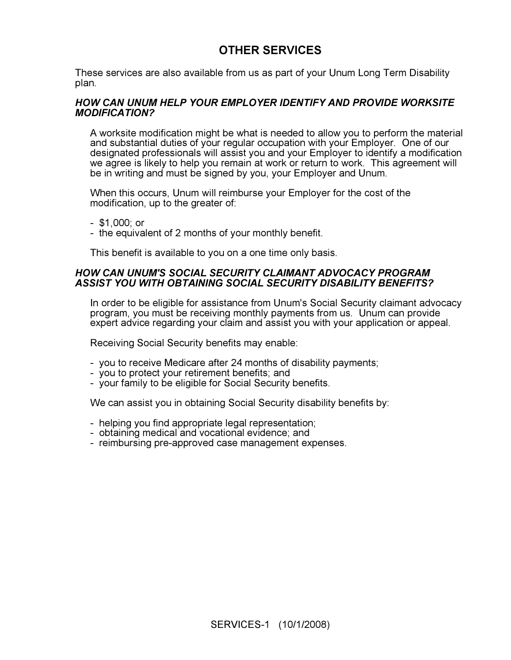# OTHER SERVICES

These services are also available from us as part of your Unum Long Term Disability plan.

#### HOW CAN UNUM HELP YOUR EMPLOYER IDENTIFY AND PROVIDE WORKSITE MODIFICATION?

A worksite modification might be what is needed to allow you to perform the material and substantial duties of your regular occupation with your Employer. One of our designated professionals will assist you and your Employer to identify a modification we agree is likely to help you remain at work or return to work. This agreement will be in writing and must be signed by you, your Employer and Unum.

When this occurs, Unum will reimburse your Employer for the cost of the modification, up to the greater of:

- \$1,000; or
- the equivalent of 2 months of your monthly benefit.

This benefit is available to you on a one time only basis.

#### HOW CAN UNUM'S SOCIAL SECURITY CLAIMANT ADVOCACY PROGRAM ASSIST YOU WITH OBTAINING SOCIAL SECURITY DISABILITY BENEFITS?

In order to be eligible for assistance from Unum's Social Security claimant advocacy program, you must be receiving monthly payments from us. Unum can provide expert advice regarding your claim and assist you with your application or appeal.

Receiving Social Security benefits may enable:

- you to receive Medicare after 24 months of disability payments;
- you to protect your retirement benefits; and
- your family to be eligible for Social Security benefits.

We can assist you in obtaining Social Security disability benefits by:

- helping you find appropriate legal representation;
- obtaining medical and vocational evidence; and
- reimbursing pre-approved case management expenses.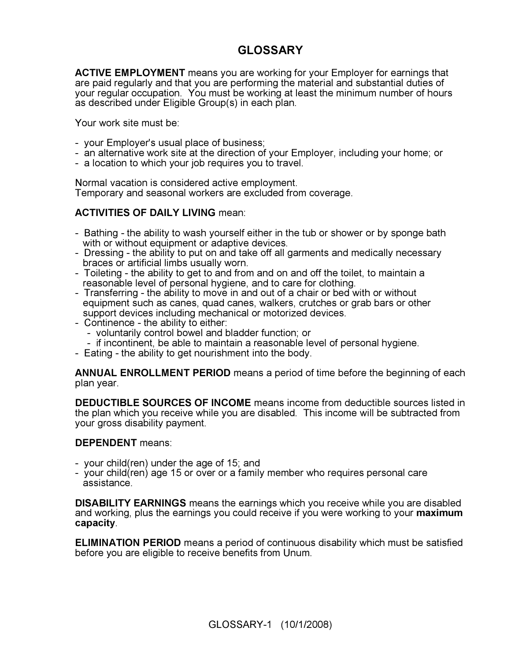# GLOSSARY

ACTIVE EMPLOYMENT means you are working for your Employer for earnings that are paid regularly and that you are performing the material and substantial duties of your regular occupation. You must be working at least the minimum number of hours as described under Eligible Group(s) in each plan.

Your work site must be:

- your Employer's usual place of business;
- an alternative work site at the direction of your Employer, including your home; or
- a location to which your job requires you to travel.

Normal vacation is considered active employment. Temporary and seasonal workers are excluded from coverage.

## ACTIVITIES OF DAILY LIVING mean:

- Bathing the ability to wash yourself either in the tub or shower or by sponge bath with or without equipment or adaptive devices.
- Dressing the ability to put on and take off all garments and medically necessary braces or artificial limbs usually worn.
- Toileting the ability to get to and from and on and off the toilet, to maintain a reasonable level of personal hygiene, and to care for clothing.
- Transferring the ability to move in and out of a chair or bed with or without equipment such as canes, quad canes, walkers, crutches or grab bars or other support devices including mechanical or motorized devices.
- Continence the ability to either:
	- voluntarily control bowel and bladder function; or
	- if incontinent, be able to maintain a reasonable level of personal hygiene.
- Eating the ability to get nourishment into the body.

ANNUAL ENROLLMENT PERIOD means a period of time before the beginning of each plan year.

DEDUCTIBLE SOURCES OF INCOME means income from deductible sources listed in the plan which you receive while you are disabled. This income will be subtracted from your gross disability payment.

#### DEPENDENT means:

- your child(ren) under the age of 15; and
- your child(ren) age 15 or over or a family member who requires personal care assistance.

DISABILITY EARNINGS means the earnings which you receive while you are disabled and working, plus the earnings you could receive if you were working to your maximum capacity.

ELIMINATION PERIOD means a period of continuous disability which must be satisfied before you are eligible to receive benefits from Unum.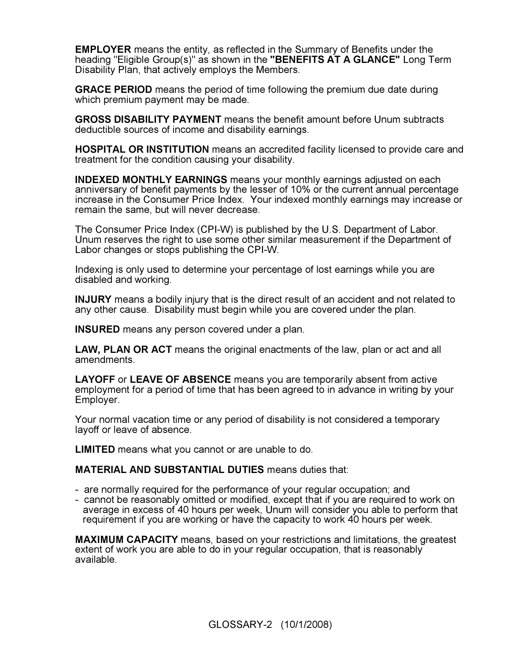EMPLOYER means the entity, as reflected in the Summary of Benefits under the heading "Eligible Group(s)" as shown in the "BENEFITS AT A GLANCE" Long Term Disability Plan, that actively employs the Members.

**GRACE PERIOD** means the period of time following the premium due date during which premium payment may be made.

GROSS DISABILITY PAYMENT means the benefit amount before Unum subtracts deductible sources of income and disability earnings.

HOSPITAL OR INSTITUTION means an accredited facility licensed to provide care and treatment for the condition causing your disability.

INDEXED MONTHLY EARNINGS means your monthly earnings adjusted on each anniversary of benefit payments by the lesser of 10% or the current annual percentage increase in the Consumer Price Index. Your indexed monthly earnings may increase or remain the same, but will never decrease.

The Consumer Price Index (CPI-W) is published by the U.S. Department of Labor. Unum reserves the right to use some other similar measurement if the Department of Labor changes or stops publishing the CPI-W.

Indexing is only used to determine your percentage of lost earnings while you are disabled and working.

INJURY means a bodily injury that is the direct result of an accident and not related to any other cause. Disability must begin while you are covered under the plan.

INSURED means any person covered under a plan.

LAW, PLAN OR ACT means the original enactments of the law, plan or act and all amendments.

LAYOFF or LEAVE OF ABSENCE means you are temporarily absent from active employment for a period of time that has been agreed to in advance in writing by your Employer.

Your normal vacation time or any period of disability is not considered a temporary layoff or leave of absence.

LIMITED means what you cannot or are unable to do.

MATERIAL AND SUBSTANTIAL DUTIES means duties that:

- are normally required for the performance of your regular occupation; and
- cannot be reasonably omitted or modified, except that if you are required to work on average in excess of 40 hours per week, Unum will consider you able to perform that requirement if you are working or have the capacity to work 40 hours per week.

MAXIMUM CAPACITY means, based on your restrictions and limitations, the greatest extent of work you are able to do in your regular occupation, that is reasonably available.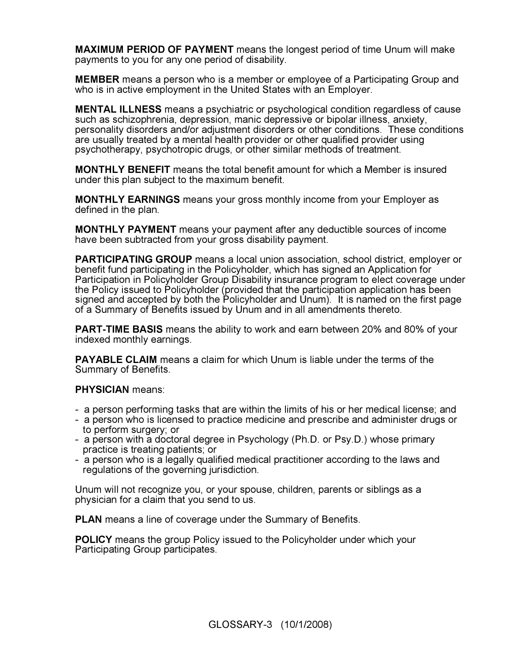MAXIMUM PERIOD OF PAYMENT means the longest period of time Unum will make payments to you for any one period of disability.

MEMBER means a person who is a member or employee of a Participating Group and who is in active employment in the United States with an Employer.

MENTAL ILLNESS means a psychiatric or psychological condition regardless of cause such as schizophrenia, depression, manic depressive or bipolar illness, anxiety, personality disorders and/or adjustment disorders or other conditions. These conditions are usually treated by a mental health provider or other qualified provider using psychotherapy, psychotropic drugs, or other similar methods of treatment.

MONTHLY BENEFIT means the total benefit amount for which a Member is insured under this plan subject to the maximum benefit.

MONTHLY EARNINGS means your gross monthly income from your Employer as defined in the plan.

MONTHLY PAYMENT means your payment after any deductible sources of income have been subtracted from your gross disability payment.

PARTICIPATING GROUP means a local union association, school district, employer or benefit fund participating in the Policyholder, which has signed an Application for Participation in Policyholder Group Disability insurance program to elect coverage under the Policy issued to Policyholder (provided that the participation application has been signed and accepted by both the Policyholder and Unum). It is named on the first page of a Summary of Benefits issued by Unum and in all amendments thereto.

PART-TIME BASIS means the ability to work and earn between 20% and 80% of your indexed monthly earnings.

PAYABLE CLAIM means a claim for which Unum is liable under the terms of the Summary of Benefits.

#### PHYSICIAN means:

- a person performing tasks that are within the limits of his or her medical license; and
- a person who is licensed to practice medicine and prescribe and administer drugs or to perform surgery; or
- a person with a doctoral degree in Psychology (Ph.D. or Psy.D.) whose primary practice is treating patients; or
- a person who is a legally qualified medical practitioner according to the laws and regulations of the governing jurisdiction.

Unum will not recognize you, or your spouse, children, parents or siblings as a physician for a claim that you send to us.

**PLAN** means a line of coverage under the Summary of Benefits.

POLICY means the group Policy issued to the Policyholder under which your Participating Group participates.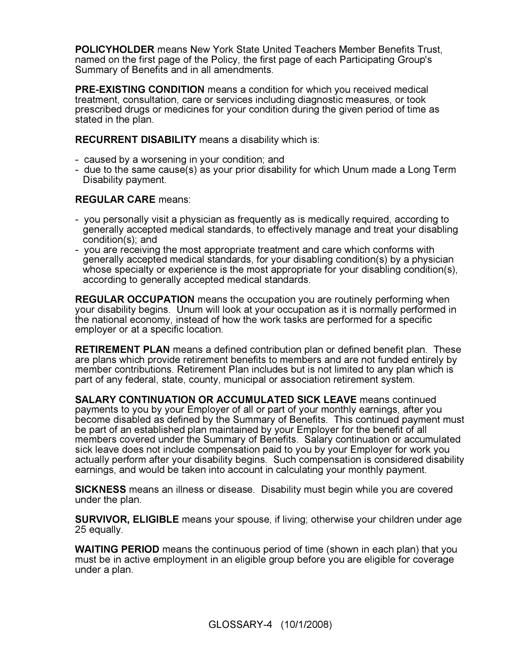POLICYHOLDER means New York State United Teachers Member Benefits Trust, named on the first page of the Policy, the first page of each Participating Group's Summary of Benefits and in all amendments.

PRE-EXISTING CONDITION means a condition for which you received medical treatment, consultation, care or services including diagnostic measures, or took prescribed drugs or medicines for your condition during the given period of time as stated in the plan.

RECURRENT DISABILITY means a disability which is:

- caused by a worsening in your condition; and
- due to the same cause(s) as your prior disability for which Unum made a Long Term Disability payment.

## REGULAR CARE means:

- you personally visit a physician as frequently as is medically required, according to generally accepted medical standards, to effectively manage and treat your disabling condition(s); and
- you are receiving the most appropriate treatment and care which conforms with generally accepted medical standards, for your disabling condition(s) by a physician whose specialty or experience is the most appropriate for your disabling condition(s), according to generally accepted medical standards.

REGULAR OCCUPATION means the occupation you are routinely performing when your disability begins. Unum will look at your occupation as it is normally performed in the national economy, instead of how the work tasks are performed for a specific employer or at a specific location.

RETIREMENT PLAN means a defined contribution plan or defined benefit plan. These are plans which provide retirement benefits to members and are not funded entirely by member contributions. Retirement Plan includes but is not limited to any plan which is part of any federal, state, county, municipal or association retirement system.

SALARY CONTINUATION OR ACCUMULATED SICK LEAVE means continued payments to you by your Employer of all or part of your monthly earnings, after you become disabled as defined by the Summary of Benefits. This continued payment must be part of an established plan maintained by your Employer for the benefit of all members covered under the Summary of Benefits. Salary continuation or accumulated sick leave does not include compensation paid to you by your Employer for work you actually perform after your disability begins. Such compensation is considered disability earnings, and would be taken into account in calculating your monthly payment.

SICKNESS means an illness or disease. Disability must begin while you are covered under the plan.

SURVIVOR, ELIGIBLE means your spouse, if living; otherwise your children under age 25 equally.

WAITING PERIOD means the continuous period of time (shown in each plan) that you must be in active employment in an eligible group before you are eligible for coverage under a plan.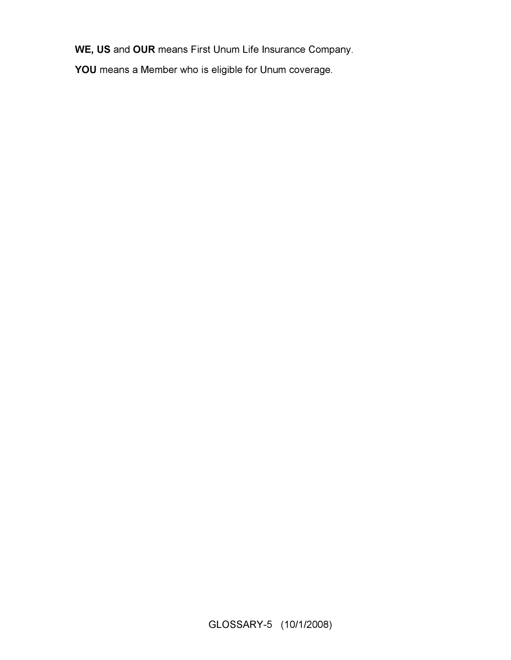WE, US and OUR means First Unum Life Insurance Company.

YOU means a Member who is eligible for Unum coverage.

GLOSSARY-5 (10/1/2008)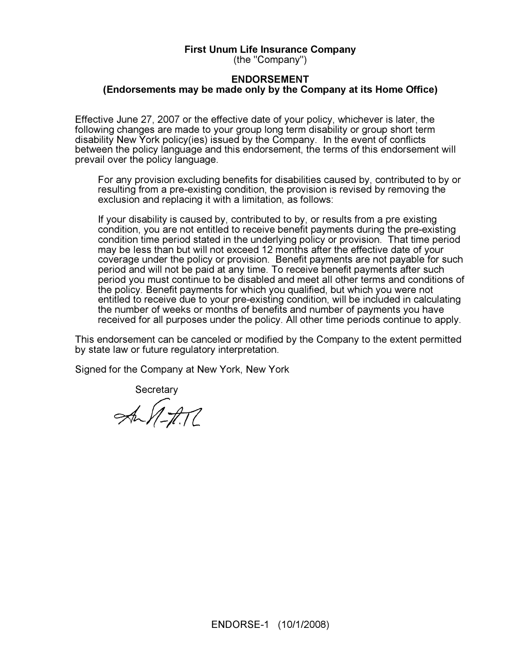#### First Unum Life Insurance Company

(the "Company")

#### ENDORSEMENT (Endorsements may be made only by the Company at its Home Office)

Effective June 27, 2007 or the effective date of your policy, whichever is later, the following changes are made to your group long term disability or group short term disability New York policy(ies) issued by the Company. In the event of conflicts between the policy language and this endorsement, the terms of this endorsement will prevail over the policy language.

For any provision excluding benefits for disabilities caused by, contributed to by or resulting from a pre-existing condition, the provision is revised by removing the exclusion and replacing it with a limitation, as follows:

If your disability is caused by, contributed to by, or results from a pre existing condition, you are not entitled to receive benefit payments during the pre-existing condition time period stated in the underlying policy or provision. That time period may be less than but will not exceed 12 months after the effective date of your coverage under the policy or provision. Benefit payments are not payable for such period and will not be paid at any time. To receive benefit payments after such period you must continue to be disabled and meet all other terms and conditions of the policy. Benefit payments for which you qualified, but which you were not entitled to receive due to your pre-existing condition, will be included in calculating the number of weeks or months of benefits and number of payments you have received for all purposes under the policy. All other time periods continue to apply.

This endorsement can be canceled or modified by the Company to the extent permitted by state law or future regulatory interpretation.

Signed for the Company at New York, New York

Secretary<br>MM-H17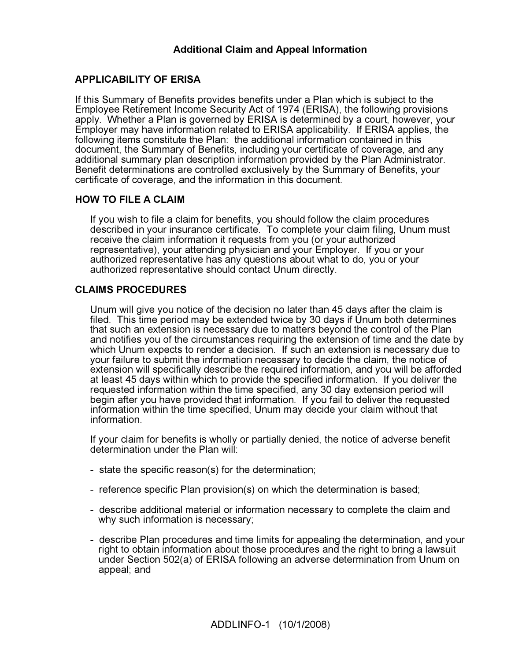# Additional Claim and Appeal Information

## APPLICABILITY OF ERISA

If this Summary of Benefits provides benefits under a Plan which is subject to the Employee Retirement Income Security Act of 1974 (ERISA), the following provisions apply. Whether a Plan is governed by ERISA is determined by a court, however, your Employer may have information related to ERISA applicability. If ERISA applies, the following items constitute the Plan: the additional information contained in this document, the Summary of Benefits, including your certificate of coverage, and any additional summary plan description information provided by the Plan Administrator. Benefit determinations are controlled exclusively by the Summary of Benefits, your certificate of coverage, and the information in this document.

## HOW TO FILE A CLAIM

If you wish to file a claim for benefits, you should follow the claim procedures described in your insurance certificate. To complete your claim filing, Unum must receive the claim information it requests from you (or your authorized representative), your attending physician and your Employer. If you or your authorized representative has any questions about what to do, you or your authorized representative should contact Unum directly.

## CLAIMS PROCEDURES

Unum will give you notice of the decision no later than 45 days after the claim is filed. This time period may be extended twice by 30 days if Unum both determines that such an extension is necessary due to matters beyond the control of the Plan and notifies you of the circumstances requiring the extension of time and the date by which Unum expects to render a decision. If such an extension is necessary due to your failure to submit the information necessary to decide the claim, the notice of extension will specifically describe the required information, and you will be afforded at least 45 days within which to provide the specified information. If you deliver the requested information within the time specified, any 30 day extension period will begin after you have provided that information. If you fail to deliver the requested information within the time specified, Unum may decide your claim without that information.

If your claim for benefits is wholly or partially denied, the notice of adverse benefit determination under the Plan will:

- state the specific reason(s) for the determination;
- reference specific Plan provision(s) on which the determination is based;
- describe additional material or information necessary to complete the claim and why such information is necessary;
- describe Plan procedures and time limits for appealing the determination, and your right to obtain information about those procedures and the right to bring a lawsuit under Section 502(a) of ERISA following an adverse determination from Unum on appeal; and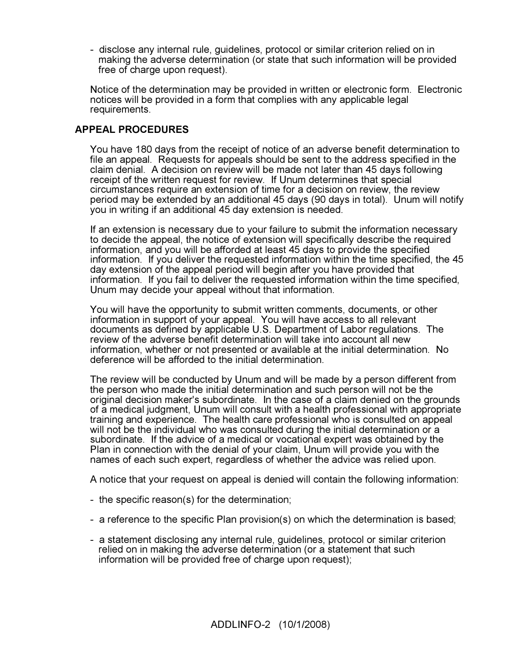- disclose any internal rule, guidelines, protocol or similar criterion relied on in making the adverse determination (or state that such information will be provided free of charge upon request).

Notice of the determination may be provided in written or electronic form. Electronic notices will be provided in a form that complies with any applicable legal requirements.

## APPEAL PROCEDURES

You have 180 days from the receipt of notice of an adverse benefit determination to file an appeal. Requests for appeals should be sent to the address specified in the claim denial. A decision on review will be made not later than 45 days following receipt of the written request for review. If Unum determines that special circumstances require an extension of time for a decision on review, the review period may be extended by an additional 45 days (90 days in total). Unum will notify you in writing if an additional 45 day extension is needed.

If an extension is necessary due to your failure to submit the information necessary to decide the appeal, the notice of extension will specifically describe the required information, and you will be afforded at least 45 days to provide the specified information. If you deliver the requested information within the time specified, the 45 day extension of the appeal period will begin after you have provided that information. If you fail to deliver the requested information within the time specified, Unum may decide your appeal without that information.

You will have the opportunity to submit written comments, documents, or other information in support of your appeal. You will have access to all relevant documents as defined by applicable U.S. Department of Labor regulations. The review of the adverse benefit determination will take into account all new information, whether or not presented or available at the initial determination. No deference will be afforded to the initial determination.

The review will be conducted by Unum and will be made by a person different from the person who made the initial determination and such person will not be the original decision maker's subordinate. In the case of a claim denied on the grounds of a medical judgment, Unum will consult with a health professional with appropriate training and experience. The health care professional who is consulted on appeal will not be the individual who was consulted during the initial determination or a subordinate. If the advice of a medical or vocational expert was obtained by the Plan in connection with the denial of your claim, Unum will provide you with the names of each such expert, regardless of whether the advice was relied upon.

A notice that your request on appeal is denied will contain the following information:

- the specific reason(s) for the determination;
- a reference to the specific Plan provision(s) on which the determination is based;
- a statement disclosing any internal rule, guidelines, protocol or similar criterion relied on in making the adverse determination (or a statement that such information will be provided free of charge upon request);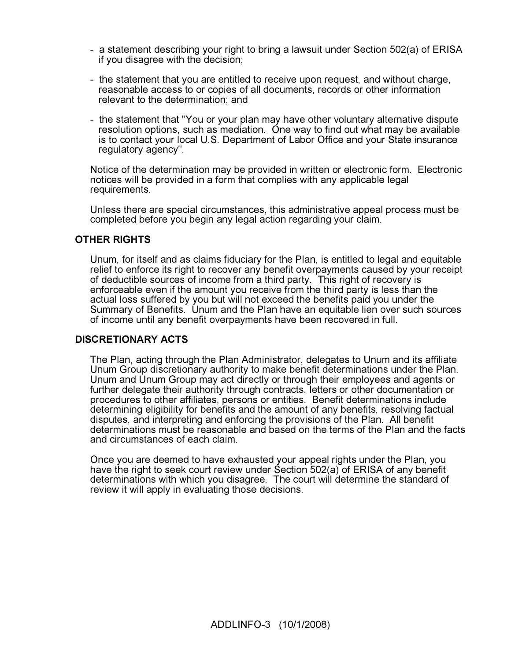- a statement describing your right to bring a lawsuit under Section 502(a) of ERISA if you disagree with the decision;
- the statement that you are entitled to receive upon request, and without charge, reasonable access to or copies of all documents, records or other information relevant to the determination; and
- the statement that "You or your plan may have other voluntary alternative dispute resolution options, such as mediation. One way to find out what may be available is to contact your local U.S. Department of Labor Office and your State insurance regulatory agency".

Notice of the determination may be provided in written or electronic form. Electronic notices will be provided in a form that complies with any applicable legal requirements.

Unless there are special circumstances, this administrative appeal process must be completed before you begin any legal action regarding your claim.

## OTHER RIGHTS

Unum, for itself and as claims fiduciary for the Plan, is entitled to legal and equitable relief to enforce its right to recover any benefit overpayments caused by your receipt of deductible sources of income from a third party. This right of recovery is enforceable even if the amount you receive from the third party is less than the actual loss suffered by you but will not exceed the benefits paid you under the Summary of Benefits. Unum and the Plan have an equitable lien over such sources of income until any benefit overpayments have been recovered in full.

#### DISCRETIONARY ACTS

The Plan, acting through the Plan Administrator, delegates to Unum and its affiliate Unum Group discretionary authority to make benefit determinations under the Plan. Unum and Unum Group may act directly or through their employees and agents or further delegate their authority through contracts, letters or other documentation or procedures to other affiliates, persons or entities. Benefit determinations include determining eligibility for benefits and the amount of any benefits, resolving factual disputes, and interpreting and enforcing the provisions of the Plan. All benefit determinations must be reasonable and based on the terms of the Plan and the facts and circumstances of each claim.

Once you are deemed to have exhausted your appeal rights under the Plan, you have the right to seek court review under Section 502(a) of ERISA of any benefit determinations with which you disagree. The court will determine the standard of review it will apply in evaluating those decisions.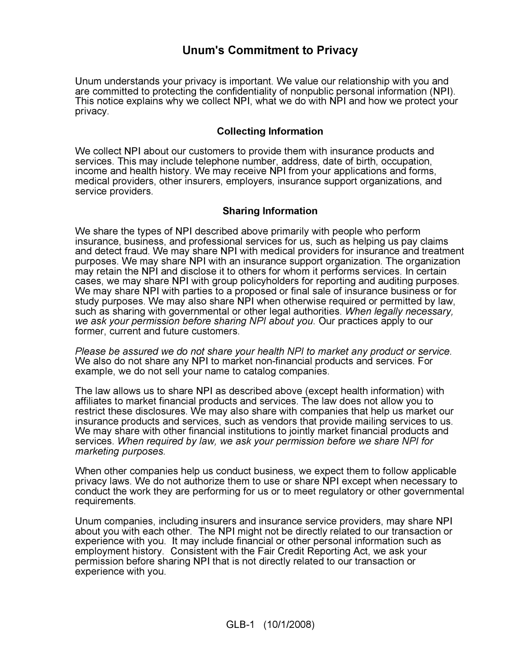# Unum's Commitment to Privacy

Unum understands your privacy is important. We value our relationship with you and are committed to protecting the confidentiality of nonpublic personal information (NPI). This notice explains why we collect NPI, what we do with NPI and how we protect your privacy.

## Collecting Information

We collect NPI about our customers to provide them with insurance products and services. This may include telephone number, address, date of birth, occupation, income and health history. We may receive NPI from your applications and forms, medical providers, other insurers, employers, insurance support organizations, and service providers.

#### Sharing Information

We share the types of NPI described above primarily with people who perform insurance, business, and professional services for us, such as helping us pay claims and detect fraud. We may share NPI with medical providers for insurance and treatment purposes. We may share NPI with an insurance support organization. The organization may retain the NPI and disclose it to others for whom it performs services. In certain cases, we may share NPI with group policyholders for reporting and auditing purposes. We may share NPI with parties to a proposed or final sale of insurance business or for study purposes. We may also share NPI when otherwise required or permitted by law, such as sharing with governmental or other legal authorities. When legally necessary, we ask your permission before sharing NPI about you. Our practices apply to our former, current and future customers.

Please be assured we do not share your health NPI to market any product or service. We also do not share any NPI to market non-financial products and services. For example, we do not sell your name to catalog companies.

The law allows us to share NPI as described above (except health information) with affiliates to market financial products and services. The law does not allow you to restrict these disclosures. We may also share with companies that help us market our insurance products and services, such as vendors that provide mailing services to us. We may share with other financial institutions to jointly market financial products and services. When required by law, we ask your permission before we share NPI for marketing purposes.

When other companies help us conduct business, we expect them to follow applicable privacy laws. We do not authorize them to use or share NPI except when necessary to conduct the work they are performing for us or to meet regulatory or other governmental requirements.

Unum companies, including insurers and insurance service providers, may share NPI about you with each other. The NPI might not be directly related to our transaction or experience with you. It may include financial or other personal information such as employment history. Consistent with the Fair Credit Reporting Act, we ask your permission before sharing NPI that is not directly related to our transaction or experience with you.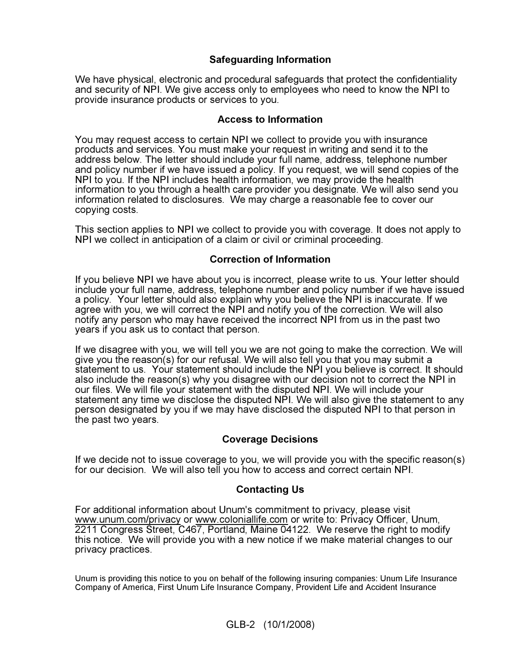# Safeguarding Information

We have physical, electronic and procedural safeguards that protect the confidentiality and security of NPI. We give access only to employees who need to know the NPI to provide insurance products or services to you.

## Access to Information

You may request access to certain NPI we collect to provide you with insurance products and services. You must make your request in writing and send it to the address below. The letter should include your full name, address, telephone number and policy number if we have issued a policy. If you request, we will send copies of the NPI to you. If the NPI includes health information, we may provide the health information to you through a health care provider you designate. We will also send you information related to disclosures. We may charge a reasonable fee to cover our copying costs.

This section applies to NPI we collect to provide you with coverage. It does not apply to NPI we collect in anticipation of a claim or civil or criminal proceeding.

## Correction of Information

If you believe NPI we have about you is incorrect, please write to us. Your letter should include your full name, address, telephone number and policy number if we have issued a policy. Your letter should also explain why you believe the NPI is inaccurate. If we agree with you, we will correct the NPI and notify you of the correction. We will also notify any person who may have received the incorrect NPI from us in the past two years if you ask us to contact that person.

If we disagree with you, we will tell you we are not going to make the correction. We will give you the reason(s) for our refusal. We will also tell you that you may submit a statement to us. Your statement should include the NPI you believe is correct. It should also include the reason(s) why you disagree with our decision not to correct the NPI in our files. We will file your statement with the disputed NPI. We will include your statement any time we disclose the disputed NPI. We will also give the statement to any person designated by you if we may have disclosed the disputed NPI to that person in the past two years.

## Coverage Decisions

If we decide not to issue coverage to you, we will provide you with the specific reason(s) for our decision. We will also tell you how to access and correct certain NPI.

## Contacting Us

For additional information about Unum's commitment to privacy, please visit www.unum.com/privacy or www.coloniallife.com or write to: Privacy Officer, Unum, 2211 Congress Street, C467, Portland, Maine 04122. We reserve the right to modify this notice. We will provide you with a new notice if we make material changes to our privacy practices.

Unum is providing this notice to you on behalf of the following insuring companies: Unum Life Insurance Company of America, First Unum Life Insurance Company, Provident Life and Accident Insurance